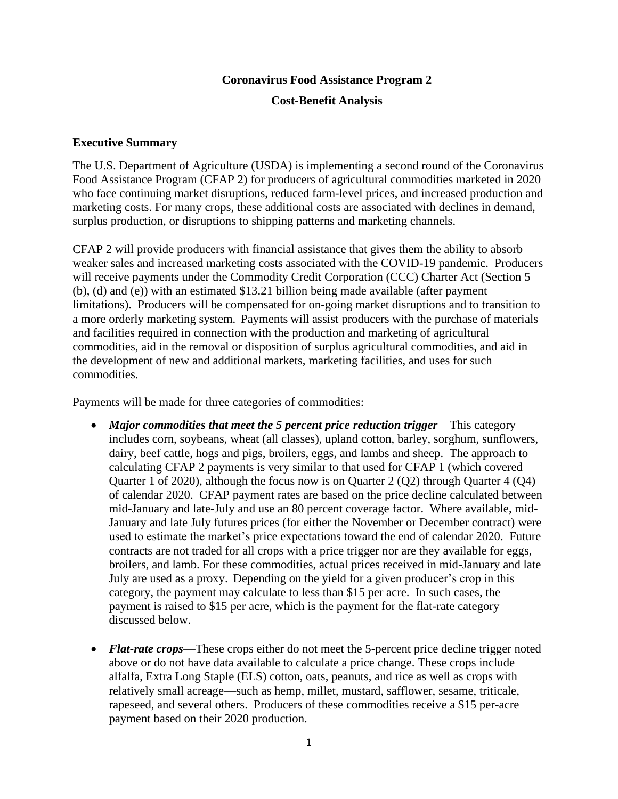# **Coronavirus Food Assistance Program 2 Cost-Benefit Analysis**

### **Executive Summary**

The U.S. Department of Agriculture (USDA) is implementing a second round of the Coronavirus Food Assistance Program (CFAP 2) for producers of agricultural commodities marketed in 2020 who face continuing market disruptions, reduced farm-level prices, and increased production and marketing costs. For many crops, these additional costs are associated with declines in demand, surplus production, or disruptions to shipping patterns and marketing channels.

CFAP 2 will provide producers with financial assistance that gives them the ability to absorb weaker sales and increased marketing costs associated with the COVID-19 pandemic. Producers will receive payments under the Commodity Credit Corporation (CCC) Charter Act (Section 5 (b), (d) and (e)) with an estimated \$13.21 billion being made available (after payment limitations). Producers will be compensated for on-going market disruptions and to transition to a more orderly marketing system. Payments will assist producers with the purchase of materials and facilities required in connection with the production and marketing of agricultural commodities, aid in the removal or disposition of surplus agricultural commodities, and aid in the development of new and additional markets, marketing facilities, and uses for such commodities.

Payments will be made for three categories of commodities:

- *Major commodities that meet the 5 percent price reduction trigger*—This category includes corn, soybeans, wheat (all classes), upland cotton, barley, sorghum, sunflowers, dairy, beef cattle, hogs and pigs, broilers, eggs, and lambs and sheep. The approach to calculating CFAP 2 payments is very similar to that used for CFAP 1 (which covered Quarter 1 of 2020), although the focus now is on Quarter 2 (Q2) through Quarter 4 (Q4) of calendar 2020. CFAP payment rates are based on the price decline calculated between mid-January and late-July and use an 80 percent coverage factor. Where available, mid-January and late July futures prices (for either the November or December contract) were used to estimate the market's price expectations toward the end of calendar 2020. Future contracts are not traded for all crops with a price trigger nor are they available for eggs, broilers, and lamb. For these commodities, actual prices received in mid-January and late July are used as a proxy. Depending on the yield for a given producer's crop in this category, the payment may calculate to less than \$15 per acre. In such cases, the payment is raised to \$15 per acre, which is the payment for the flat-rate category discussed below.
- *Flat-rate crops***—These crops either do not meet the 5-percent price decline trigger noted** above or do not have data available to calculate a price change. These crops include alfalfa, Extra Long Staple (ELS) cotton, oats, peanuts, and rice as well as crops with relatively small acreage—such as hemp, millet, mustard, safflower, sesame, triticale, rapeseed, and several others. Producers of these commodities receive a \$15 per-acre payment based on their 2020 production.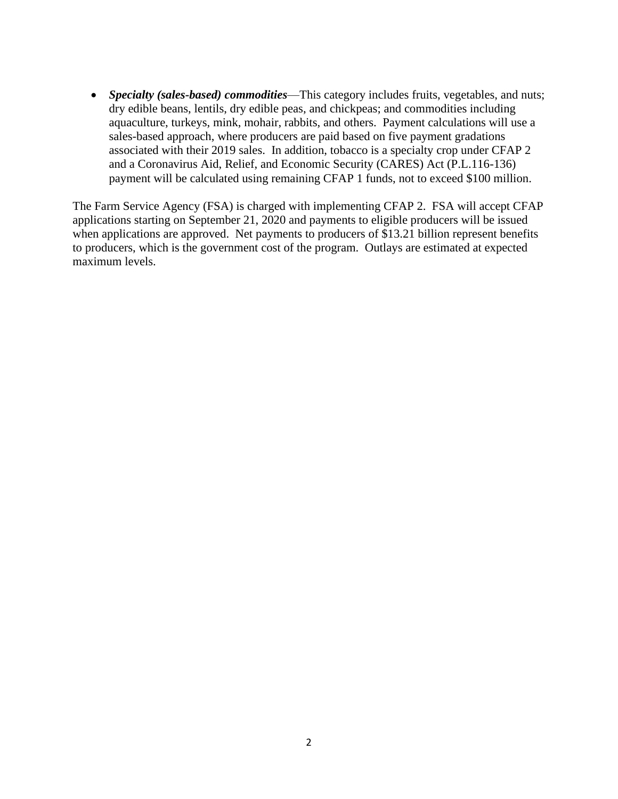• *Specialty (sales-based) commodities*—This category includes fruits, vegetables, and nuts; dry edible beans, lentils, dry edible peas, and chickpeas; and commodities including aquaculture, turkeys, mink, mohair, rabbits, and others. Payment calculations will use a sales-based approach, where producers are paid based on five payment gradations associated with their 2019 sales. In addition, tobacco is a specialty crop under CFAP 2 and a Coronavirus Aid, Relief, and Economic Security (CARES) Act (P.L.116-136) payment will be calculated using remaining CFAP 1 funds, not to exceed \$100 million.

The Farm Service Agency (FSA) is charged with implementing CFAP 2. FSA will accept CFAP applications starting on September 21, 2020 and payments to eligible producers will be issued when applications are approved. Net payments to producers of  $$13.21$  billion represent benefits to producers, which is the government cost of the program. Outlays are estimated at expected maximum levels.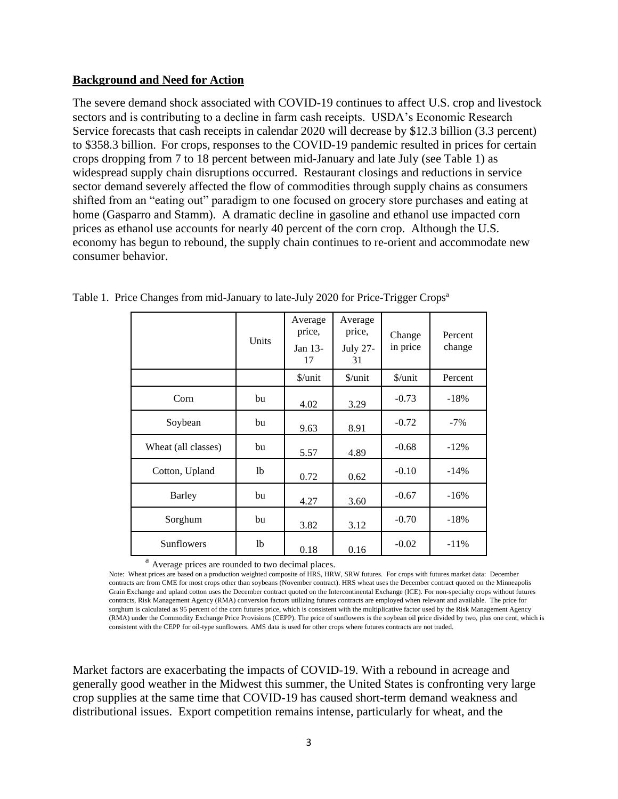#### **Background and Need for Action**

The severe demand shock associated with COVID-19 continues to affect U.S. crop and livestock sectors and is contributing to a decline in farm cash receipts. USDA's Economic Research Service forecasts that cash receipts in calendar 2020 will decrease by \$12.3 billion (3.3 percent) to \$358.3 billion. For crops, responses to the COVID-19 pandemic resulted in prices for certain crops dropping from 7 to 18 percent between mid-January and late July (see Table 1) as widespread supply chain disruptions occurred. Restaurant closings and reductions in service sector demand severely affected the flow of commodities through supply chains as consumers shifted from an "eating out" paradigm to one focused on grocery store purchases and eating at home (Gasparro and Stamm). A dramatic decline in gasoline and ethanol use impacted corn prices as ethanol use accounts for nearly 40 percent of the corn crop. Although the U.S. economy has begun to rebound, the supply chain continues to re-orient and accommodate new consumer behavior.

|                     | Units          | Average<br>price,<br>Jan 13-<br>17 | Average<br>price,<br><b>July 27-</b><br>31 | Change<br>in price   | Percent<br>change |
|---------------------|----------------|------------------------------------|--------------------------------------------|----------------------|-------------------|
|                     |                | $\frac{\sqrt{2}}{2}$               | $\frac{\sqrt{2}}{2}$                       | $\frac{\sqrt{2}}{2}$ | Percent           |
| Corn                | bu             | 4.02                               | 3.29                                       | $-0.73$              | $-18%$            |
| Soybean             | bu             | 9.63                               | 8.91                                       | $-0.72$              | $-7\%$            |
| Wheat (all classes) | bu             | 5.57                               | 4.89                                       | $-0.68$              | $-12%$            |
| Cotton, Upland      | lb             | 0.72                               | 0.62                                       | $-0.10$              | $-14%$            |
| Barley              | bu             | 4.27                               | 3.60                                       | $-0.67$              | $-16%$            |
| Sorghum             | bu             | 3.82                               | 3.12                                       | $-0.70$              | $-18%$            |
| Sunflowers          | <sup>1</sup> b | 0.18                               | 0.16                                       | $-0.02$              | $-11%$            |

|  |  |  | Table 1. Price Changes from mid-January to late-July 2020 for Price-Trigger Crops <sup>a</sup> |  |
|--|--|--|------------------------------------------------------------------------------------------------|--|
|  |  |  |                                                                                                |  |

<sup>a</sup> Average prices are rounded to two decimal places.

Note: Wheat prices are based on a production weighted composite of HRS, HRW, SRW futures. For crops with futures market data: December contracts are from CME for most crops other than soybeans (November contract). HRS wheat uses the December contract quoted on the Minneapolis Grain Exchange and upland cotton uses the December contract quoted on the Intercontinental Exchange (ICE). For non-specialty crops without futures contracts, Risk Management Agency (RMA) conversion factors utilizing futures contracts are employed when relevant and available. The price for sorghum is calculated as 95 percent of the corn futures price, which is consistent with the multiplicative factor used by the Risk Management Agency (RMA) under the Commodity Exchange Price Provisions (CEPP). The price of sunflowers is the soybean oil price divided by two, plus one cent, which is consistent with the CEPP for oil-type sunflowers. AMS data is used for other crops where futures contracts are not traded.

Market factors are exacerbating the impacts of COVID-19. With a rebound in acreage and generally good weather in the Midwest this summer, the United States is confronting very large crop supplies at the same time that COVID-19 has caused short-term demand weakness and distributional issues. Export competition remains intense, particularly for wheat, and the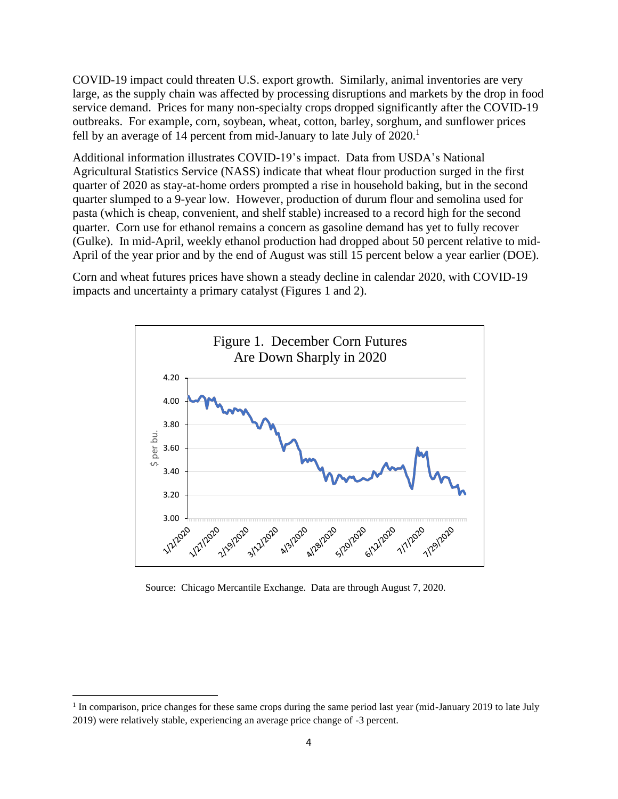COVID-19 impact could threaten U.S. export growth. Similarly, animal inventories are very large, as the supply chain was affected by processing disruptions and markets by the drop in food service demand. Prices for many non-specialty crops dropped significantly after the COVID-19 outbreaks. For example, corn, soybean, wheat, cotton, barley, sorghum, and sunflower prices fell by an average of 14 percent from mid-January to late July of  $2020$ .<sup>1</sup>

Additional information illustrates COVID-19's impact. Data from USDA's National Agricultural Statistics Service (NASS) indicate that wheat flour production surged in the first quarter of 2020 as stay-at-home orders prompted a rise in household baking, but in the second quarter slumped to a 9-year low. However, production of durum flour and semolina used for pasta (which is cheap, convenient, and shelf stable) increased to a record high for the second quarter. Corn use for ethanol remains a concern as gasoline demand has yet to fully recover (Gulke). In mid-April, weekly ethanol production had dropped about 50 percent relative to mid-April of the year prior and by the end of August was still 15 percent below a year earlier (DOE).

Corn and wheat futures prices have shown a steady decline in calendar 2020, with COVID-19 impacts and uncertainty a primary catalyst (Figures 1 and 2).



Source: Chicago Mercantile Exchange. Data are through August 7, 2020.

<sup>&</sup>lt;sup>1</sup> In comparison, price changes for these same crops during the same period last year (mid-January 2019 to late July 2019) were relatively stable, experiencing an average price change of -3 percent.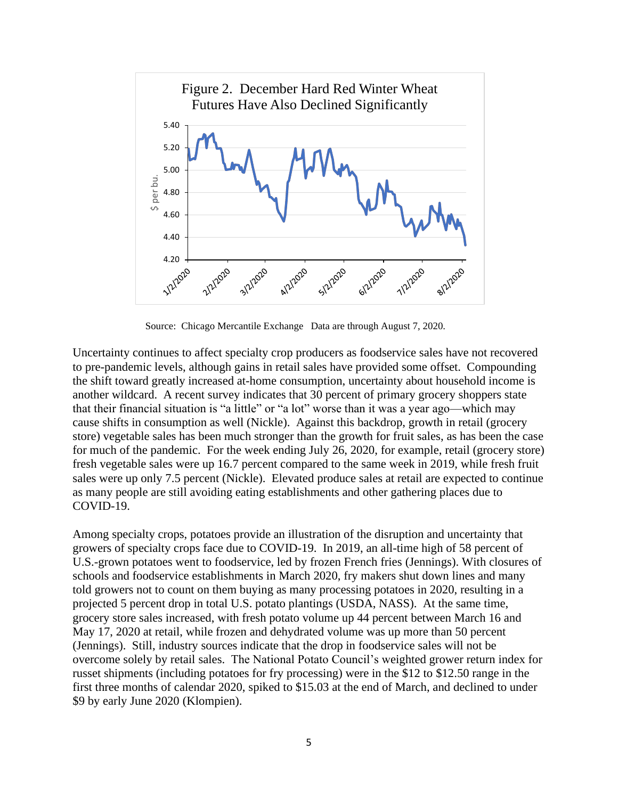

Source: Chicago Mercantile Exchange Data are through August 7, 2020.

Uncertainty continues to affect specialty crop producers as foodservice sales have not recovered to pre-pandemic levels, although gains in retail sales have provided some offset. Compounding the shift toward greatly increased at-home consumption, uncertainty about household income is another wildcard. A recent survey indicates that 30 percent of primary grocery shoppers state that their financial situation is "a little" or "a lot" worse than it was a year ago—which may cause shifts in consumption as well (Nickle). Against this backdrop, growth in retail (grocery store) vegetable sales has been much stronger than the growth for fruit sales, as has been the case for much of the pandemic. For the week ending July 26, 2020, for example, retail (grocery store) fresh vegetable sales were up 16.7 percent compared to the same week in 2019, while fresh fruit sales were up only 7.5 percent (Nickle). Elevated produce sales at retail are expected to continue as many people are still avoiding eating establishments and other gathering places due to COVID-19.

Among specialty crops, potatoes provide an illustration of the disruption and uncertainty that growers of specialty crops face due to COVID-19. In 2019, an all-time high of 58 percent of U.S.-grown potatoes went to foodservice, led by frozen French fries (Jennings). With closures of schools and foodservice establishments in March 2020, fry makers shut down lines and many told growers not to count on them buying as many processing potatoes in 2020, resulting in a projected 5 percent drop in total U.S. potato plantings (USDA, NASS). At the same time, grocery store sales increased, with fresh potato volume up 44 percent between March 16 and May 17, 2020 at retail, while frozen and dehydrated volume was up more than 50 percent (Jennings). Still, industry sources indicate that the drop in foodservice sales will not be overcome solely by retail sales. The National Potato Council's weighted grower return index for russet shipments (including potatoes for fry processing) were in the \$12 to \$12.50 range in the first three months of calendar 2020, spiked to \$15.03 at the end of March, and declined to under \$9 by early June 2020 (Klompien).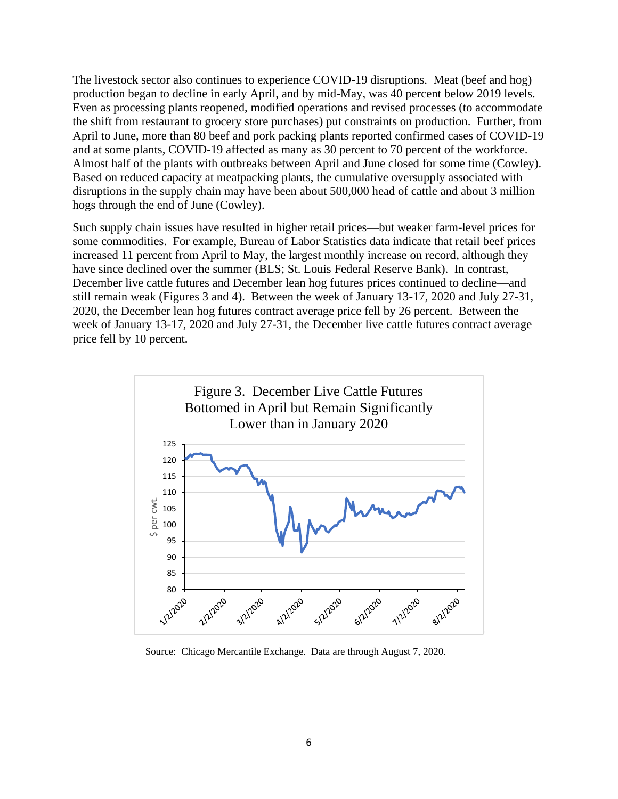The livestock sector also continues to experience COVID-19 disruptions. Meat (beef and hog) production began to decline in early April, and by mid-May, was 40 percent below 2019 levels. Even as processing plants reopened, modified operations and revised processes (to accommodate the shift from restaurant to grocery store purchases) put constraints on production. Further, from April to June, more than 80 beef and pork packing plants reported confirmed cases of COVID-19 and at some plants, COVID-19 affected as many as 30 percent to 70 percent of the workforce. Almost half of the plants with outbreaks between April and June closed for some time (Cowley). Based on reduced capacity at meatpacking plants, the cumulative oversupply associated with disruptions in the supply chain may have been about 500,000 head of cattle and about 3 million hogs through the end of June (Cowley).

Such supply chain issues have resulted in higher retail prices—but weaker farm-level prices for some commodities. For example, Bureau of Labor Statistics data indicate that retail beef prices increased 11 percent from April to May, the largest monthly increase on record, although they have since declined over the summer (BLS; St. Louis Federal Reserve Bank). In contrast, December live cattle futures and December lean hog futures prices continued to decline—and still remain weak (Figures 3 and 4). Between the week of January 13-17, 2020 and July 27-31, 2020, the December lean hog futures contract average price fell by 26 percent. Between the week of January 13-17, 2020 and July 27-31, the December live cattle futures contract average price fell by 10 percent.



Source: Chicago Mercantile Exchange. Data are through August 7, 2020.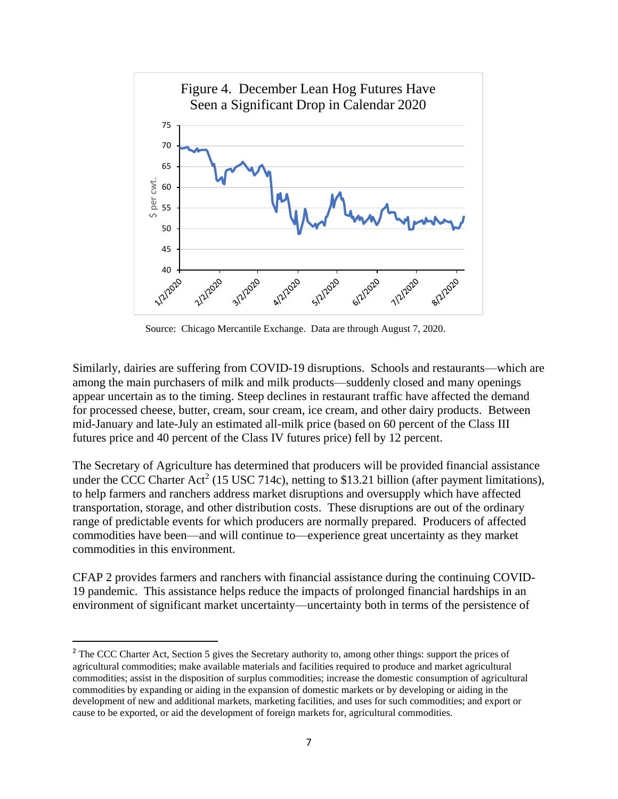

Source: Chicago Mercantile Exchange. Data are through August 7, 2020.

Similarly, dairies are suffering from COVID-19 disruptions. Schools and restaurants—which are among the main purchasers of milk and milk products—suddenly closed and many openings appear uncertain as to the timing. Steep declines in restaurant traffic have affected the demand for processed cheese, butter, cream, sour cream, ice cream, and other dairy products. Between mid-January and late-July an estimated all-milk price (based on 60 percent of the Class III futures price and 40 percent of the Class IV futures price) fell by 12 percent.

The Secretary of Agriculture has determined that producers will be provided financial assistance under the CCC Charter Act<sup>2</sup> (15 USC 714c), netting to \$13.21 billion (after payment limitations), to help farmers and ranchers address market disruptions and oversupply which have affected transportation, storage, and other distribution costs. These disruptions are out of the ordinary range of predictable events for which producers are normally prepared. Producers of affected commodities have been—and will continue to—experience great uncertainty as they market commodities in this environment.

CFAP 2 provides farmers and ranchers with financial assistance during the continuing COVID-19 pandemic. This assistance helps reduce the impacts of prolonged financial hardships in an environment of significant market uncertainty—uncertainty both in terms of the persistence of

<sup>&</sup>lt;sup>2</sup> The CCC Charter Act, Section 5 gives the Secretary authority to, among other things: support the prices of agricultural commodities; make available materials and facilities required to produce and market agricultural commodities; assist in the disposition of surplus commodities; increase the domestic consumption of agricultural commodities by expanding or aiding in the expansion of domestic markets or by developing or aiding in the development of new and additional markets, marketing facilities, and uses for such commodities; and export or cause to be exported, or aid the development of foreign markets for, agricultural commodities.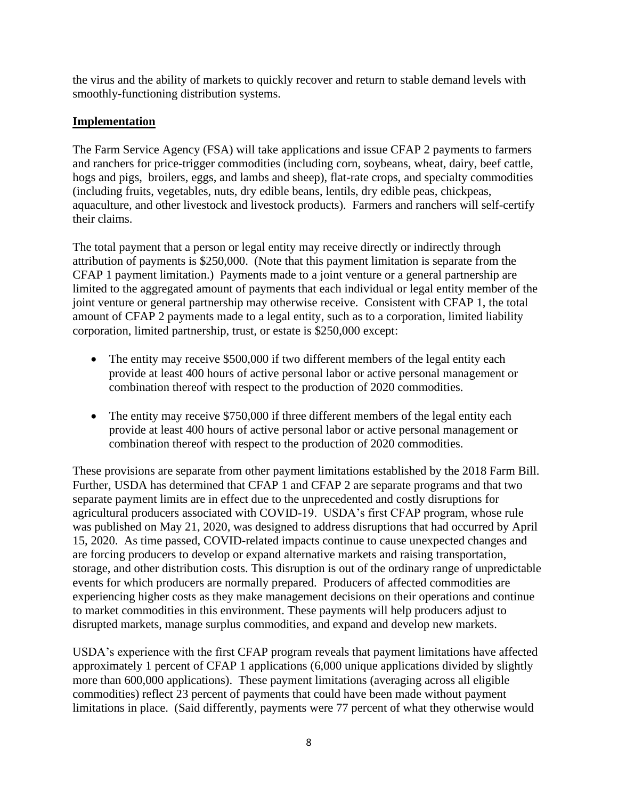the virus and the ability of markets to quickly recover and return to stable demand levels with smoothly-functioning distribution systems.

### **Implementation**

The Farm Service Agency (FSA) will take applications and issue CFAP 2 payments to farmers and ranchers for price-trigger commodities (including corn, soybeans, wheat, dairy, beef cattle, hogs and pigs, broilers, eggs, and lambs and sheep), flat-rate crops, and specialty commodities (including fruits, vegetables, nuts, dry edible beans, lentils, dry edible peas, chickpeas, aquaculture, and other livestock and livestock products). Farmers and ranchers will self-certify their claims.

The total payment that a person or legal entity may receive directly or indirectly through attribution of payments is \$250,000. (Note that this payment limitation is separate from the CFAP 1 payment limitation.) Payments made to a joint venture or a general partnership are limited to the aggregated amount of payments that each individual or legal entity member of the joint venture or general partnership may otherwise receive. Consistent with CFAP 1, the total amount of CFAP 2 payments made to a legal entity, such as to a corporation, limited liability corporation, limited partnership, trust, or estate is \$250,000 except:

- The entity may receive \$500,000 if two different members of the legal entity each provide at least 400 hours of active personal labor or active personal management or combination thereof with respect to the production of 2020 commodities.
- The entity may receive \$750,000 if three different members of the legal entity each provide at least 400 hours of active personal labor or active personal management or combination thereof with respect to the production of 2020 commodities.

These provisions are separate from other payment limitations established by the 2018 Farm Bill. Further, USDA has determined that CFAP 1 and CFAP 2 are separate programs and that two separate payment limits are in effect due to the unprecedented and costly disruptions for agricultural producers associated with COVID-19. USDA's first CFAP program, whose rule was published on May 21, 2020, was designed to address disruptions that had occurred by April 15, 2020. As time passed, COVID-related impacts continue to cause unexpected changes and are forcing producers to develop or expand alternative markets and raising transportation, storage, and other distribution costs. This disruption is out of the ordinary range of unpredictable events for which producers are normally prepared. Producers of affected commodities are experiencing higher costs as they make management decisions on their operations and continue to market commodities in this environment. These payments will help producers adjust to disrupted markets, manage surplus commodities, and expand and develop new markets.

USDA's experience with the first CFAP program reveals that payment limitations have affected approximately 1 percent of CFAP 1 applications (6,000 unique applications divided by slightly more than 600,000 applications). These payment limitations (averaging across all eligible commodities) reflect 23 percent of payments that could have been made without payment limitations in place. (Said differently, payments were 77 percent of what they otherwise would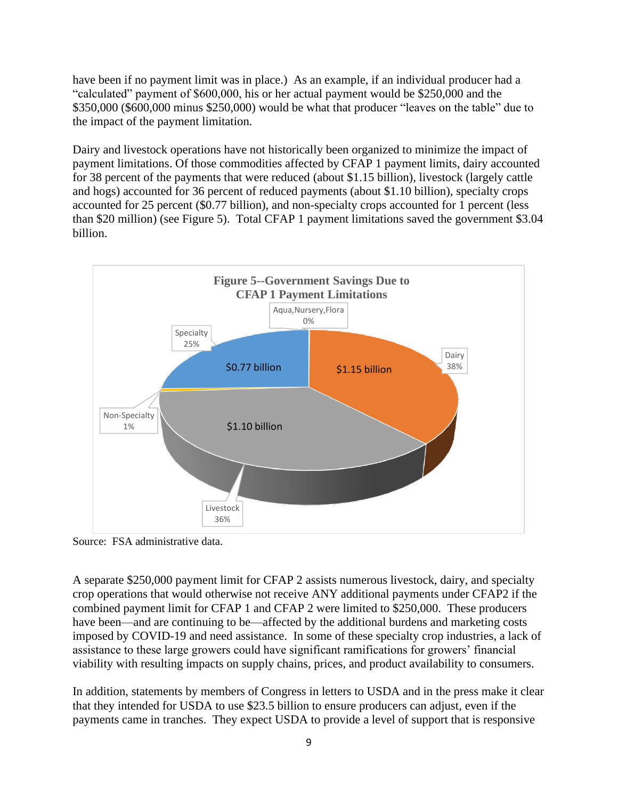have been if no payment limit was in place.) As an example, if an individual producer had a "calculated" payment of \$600,000, his or her actual payment would be \$250,000 and the \$350,000 (\$600,000 minus \$250,000) would be what that producer "leaves on the table" due to the impact of the payment limitation.

Dairy and livestock operations have not historically been organized to minimize the impact of payment limitations. Of those commodities affected by CFAP 1 payment limits, dairy accounted for 38 percent of the payments that were reduced (about \$1.15 billion), livestock (largely cattle and hogs) accounted for 36 percent of reduced payments (about \$1.10 billion), specialty crops accounted for 25 percent (\$0.77 billion), and non-specialty crops accounted for 1 percent (less than \$20 million) (see Figure 5). Total CFAP 1 payment limitations saved the government \$3.04 billion.



Source: FSA administrative data.

A separate \$250,000 payment limit for CFAP 2 assists numerous livestock, dairy, and specialty crop operations that would otherwise not receive ANY additional payments under CFAP2 if the combined payment limit for CFAP 1 and CFAP 2 were limited to \$250,000. These producers have been—and are continuing to be—affected by the additional burdens and marketing costs imposed by COVID-19 and need assistance. In some of these specialty crop industries, a lack of assistance to these large growers could have significant ramifications for growers' financial viability with resulting impacts on supply chains, prices, and product availability to consumers.

In addition, statements by members of Congress in letters to USDA and in the press make it clear that they intended for USDA to use \$23.5 billion to ensure producers can adjust, even if the payments came in tranches. They expect USDA to provide a level of support that is responsive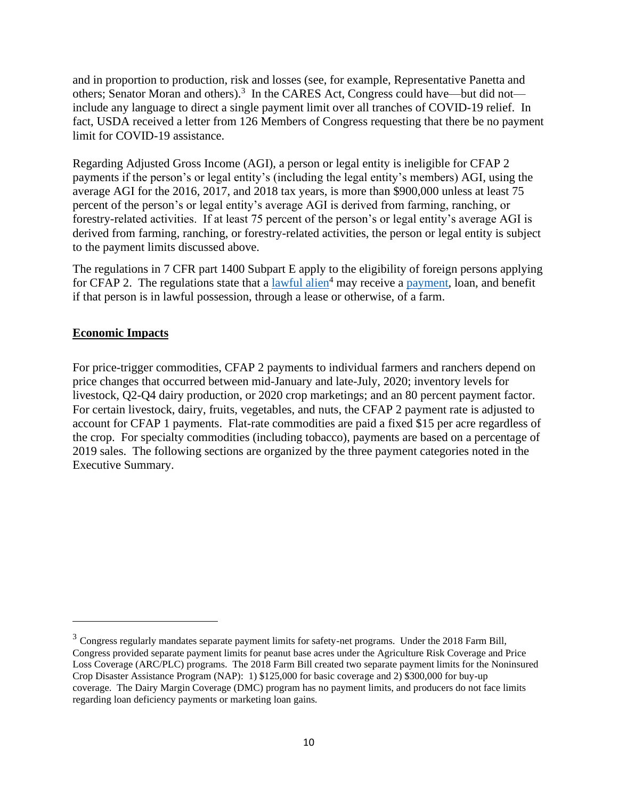and in proportion to production, risk and losses (see, for example, Representative Panetta and others; Senator Moran and others).<sup>3</sup> In the CARES Act, Congress could have—but did not include any language to direct a single payment limit over all tranches of COVID-19 relief. In fact, USDA received a letter from 126 Members of Congress requesting that there be no payment limit for COVID-19 assistance.

Regarding Adjusted Gross Income (AGI), a person or legal entity is ineligible for CFAP 2 payments if the person's or legal entity's (including the legal entity's members) AGI, using the average AGI for the 2016, 2017, and 2018 tax years, is more than \$900,000 unless at least 75 percent of the person's or legal entity's average AGI is derived from farming, ranching, or forestry-related activities. If at least 75 percent of the person's or legal entity's average AGI is derived from farming, ranching, or forestry-related activities, the person or legal entity is subject to the payment limits discussed above.

The regulations in 7 CFR part 1400 Subpart E apply to the eligibility of foreign persons applying for CFAP 2. The regulations state that a [lawful alien](https://gcc02.safelinks.protection.outlook.com/?url=https%3A%2F%2Fwww.law.cornell.edu%2Fdefinitions%2Findex.php%3Fwidth%3D840%26height%3D800%26iframe%3Dtrue%26def_id%3Dcfb7c7aee4f8102b488fe7f47345c20c%26term_occur%3D999%26term_src%3DTitle%3A7%3ASubtitle%3AB%3AChapter%3AXIV%3ASubchapter%3AA%3APart%3A1400%3ASubpart%3AE%3A1400.401&data=02%7C01%7C%7C6344020f2485464bd87008d7e5e91a43%7Ced5b36e701ee4ebc867ee03cfa0d4697%7C0%7C0%7C637230661636080743&sdata=Or%2Bt34EF%2FoeulT5uay5mkfiwPQVDxoNRhtNl5shhDOo%3D&reserved=0)<sup>4</sup> may receive a [payment,](https://gcc02.safelinks.protection.outlook.com/?url=https%3A%2F%2Fwww.law.cornell.edu%2Fdefinitions%2Findex.php%3Fwidth%3D840%26height%3D800%26iframe%3Dtrue%26def_id%3D238ec8933249514b6619a5517ae74daf%26term_occur%3D999%26term_src%3DTitle%3A7%3ASubtitle%3AB%3AChapter%3AXIV%3ASubchapter%3AA%3APart%3A1400%3ASubpart%3AE%3A1400.401&data=02%7C01%7C%7C6344020f2485464bd87008d7e5e91a43%7Ced5b36e701ee4ebc867ee03cfa0d4697%7C0%7C0%7C637230661636080743&sdata=JXFJ4vwOyMuUX0wXZ5Ds%2FpocWLnaIbhbLvgHi87U0AQ%3D&reserved=0) loan, and benefit if that person is in lawful possession, through a lease or otherwise, of a farm.

### **Economic Impacts**

For price-trigger commodities, CFAP 2 payments to individual farmers and ranchers depend on price changes that occurred between mid-January and late-July, 2020; inventory levels for livestock, Q2-Q4 dairy production, or 2020 crop marketings; and an 80 percent payment factor. For certain livestock, dairy, fruits, vegetables, and nuts, the CFAP 2 payment rate is adjusted to account for CFAP 1 payments. Flat-rate commodities are paid a fixed \$15 per acre regardless of the crop. For specialty commodities (including tobacco), payments are based on a percentage of 2019 sales. The following sections are organized by the three payment categories noted in the Executive Summary.

 $3$  Congress regularly mandates separate payment limits for safety-net programs. Under the 2018 Farm Bill, Congress provided separate payment limits for peanut base acres under the Agriculture Risk Coverage and Price Loss Coverage (ARC/PLC) programs. The 2018 Farm Bill created two separate payment limits for the Noninsured Crop Disaster Assistance Program (NAP): 1) \$125,000 for basic coverage and 2) \$300,000 for buy-up coverage. The Dairy Margin Coverage (DMC) program has no payment limits, and producers do not face limits regarding loan deficiency payments or marketing loan gains.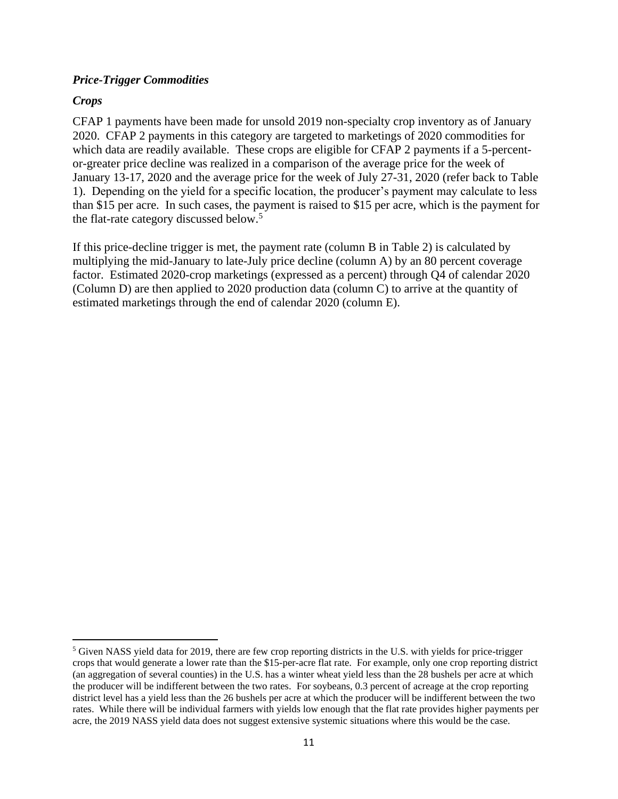### *Price-Trigger Commodities*

### *Crops*

CFAP 1 payments have been made for unsold 2019 non-specialty crop inventory as of January 2020. CFAP 2 payments in this category are targeted to marketings of 2020 commodities for which data are readily available. These crops are eligible for CFAP 2 payments if a 5-percentor-greater price decline was realized in a comparison of the average price for the week of January 13-17, 2020 and the average price for the week of July 27-31, 2020 (refer back to Table 1). Depending on the yield for a specific location, the producer's payment may calculate to less than \$15 per acre. In such cases, the payment is raised to \$15 per acre, which is the payment for the flat-rate category discussed below.<sup>5</sup>

If this price-decline trigger is met, the payment rate (column B in Table 2) is calculated by multiplying the mid-January to late-July price decline (column A) by an 80 percent coverage factor. Estimated 2020-crop marketings (expressed as a percent) through Q4 of calendar 2020 (Column D) are then applied to 2020 production data (column C) to arrive at the quantity of estimated marketings through the end of calendar 2020 (column E).

 $<sup>5</sup>$  Given NASS yield data for 2019, there are few crop reporting districts in the U.S. with yields for price-trigger</sup> crops that would generate a lower rate than the \$15-per-acre flat rate. For example, only one crop reporting district (an aggregation of several counties) in the U.S. has a winter wheat yield less than the 28 bushels per acre at which the producer will be indifferent between the two rates. For soybeans, 0.3 percent of acreage at the crop reporting district level has a yield less than the 26 bushels per acre at which the producer will be indifferent between the two rates. While there will be individual farmers with yields low enough that the flat rate provides higher payments per acre, the 2019 NASS yield data does not suggest extensive systemic situations where this would be the case.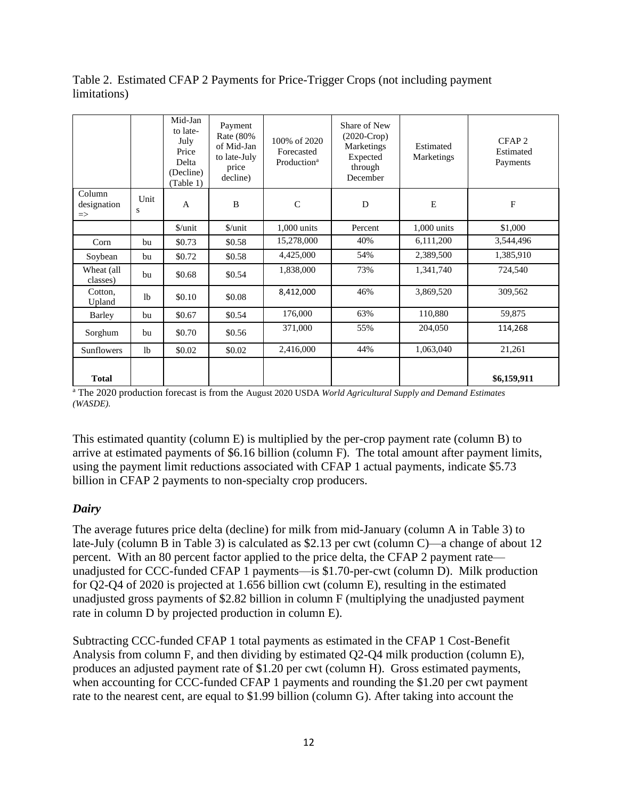Table 2. Estimated CFAP 2 Payments for Price-Trigger Crops (not including payment limitations)

|                                        |                | Mid-Jan<br>to late-<br>July<br>Price<br>Delta<br>(Decline)<br>(Table 1) | Payment<br>Rate (80%<br>of Mid-Jan<br>to late-July<br>price<br>decline) | 100% of 2020<br>Forecasted<br>Production <sup>a</sup> | Share of New<br>$(2020-Crop)$<br>Marketings<br>Expected<br>through<br>December | Estimated<br>Marketings | CFAP <sub>2</sub><br>Estimated<br>Payments |
|----------------------------------------|----------------|-------------------------------------------------------------------------|-------------------------------------------------------------------------|-------------------------------------------------------|--------------------------------------------------------------------------------|-------------------------|--------------------------------------------|
| Column<br>designation<br>$\Rightarrow$ | Unit<br>S      | $\mathbf{A}$                                                            | $\bf{B}$                                                                | $\mathsf{C}$                                          | D                                                                              | E                       | $\mathbf F$                                |
|                                        |                | \$/unit                                                                 | $\frac{\text{S}}{\text{unit}}$                                          | 1,000 units                                           | Percent                                                                        | 1,000 units             | \$1,000                                    |
| Corn                                   | bu             | \$0.73                                                                  | \$0.58                                                                  | 15,278,000                                            | 40%                                                                            | 6,111,200               | 3,544,496                                  |
| Soybean                                | bu             | \$0.72                                                                  | \$0.58                                                                  | 4,425,000                                             | 54%                                                                            | 2,389,500               | 1,385,910                                  |
| Wheat (all<br>classes)                 | bu             | \$0.68                                                                  | \$0.54                                                                  | 1,838,000                                             | 73%                                                                            | 1,341,740               | 724,540                                    |
| Cotton.<br>Upland                      | 1 <sub>b</sub> | \$0.10                                                                  | \$0.08                                                                  | 8,412,000                                             | 46%                                                                            | 3,869,520               | 309,562                                    |
| Barley                                 | bu             | \$0.67                                                                  | \$0.54                                                                  | 176,000                                               | 63%                                                                            | 110,880                 | 59,875                                     |
| Sorghum                                | bu             | \$0.70                                                                  | \$0.56                                                                  | 371,000                                               | 55%                                                                            | 204,050                 | 114,268                                    |
| <b>Sunflowers</b>                      | 1 <sub>b</sub> | \$0.02                                                                  | \$0.02                                                                  | 2,416,000                                             | 44%                                                                            | 1,063,040               | 21,261                                     |
| <b>Total</b>                           |                |                                                                         |                                                                         |                                                       |                                                                                |                         | \$6,159,911                                |

<sup>a</sup> The 2020 production forecast is from the August 2020 USDA *World Agricultural Supply and Demand Estimates (WASDE).*

This estimated quantity (column E) is multiplied by the per-crop payment rate (column B) to arrive at estimated payments of \$6.16 billion (column F). The total amount after payment limits, using the payment limit reductions associated with CFAP 1 actual payments, indicate \$5.73 billion in CFAP 2 payments to non-specialty crop producers.

### *Dairy*

The average futures price delta (decline) for milk from mid-January (column A in Table 3) to late-July (column B in Table 3) is calculated as \$2.13 per cwt (column C)—a change of about 12 percent. With an 80 percent factor applied to the price delta, the CFAP 2 payment rate unadjusted for CCC-funded CFAP 1 payments—is \$1.70-per-cwt (column D). Milk production for Q2-Q4 of 2020 is projected at 1.656 billion cwt (column E), resulting in the estimated unadjusted gross payments of \$2.82 billion in column F (multiplying the unadjusted payment rate in column D by projected production in column E).

Subtracting CCC-funded CFAP 1 total payments as estimated in the CFAP 1 Cost-Benefit Analysis from column F, and then dividing by estimated Q2-Q4 milk production (column E), produces an adjusted payment rate of \$1.20 per cwt (column H). Gross estimated payments, when accounting for CCC-funded CFAP 1 payments and rounding the \$1.20 per cwt payment rate to the nearest cent, are equal to \$1.99 billion (column G). After taking into account the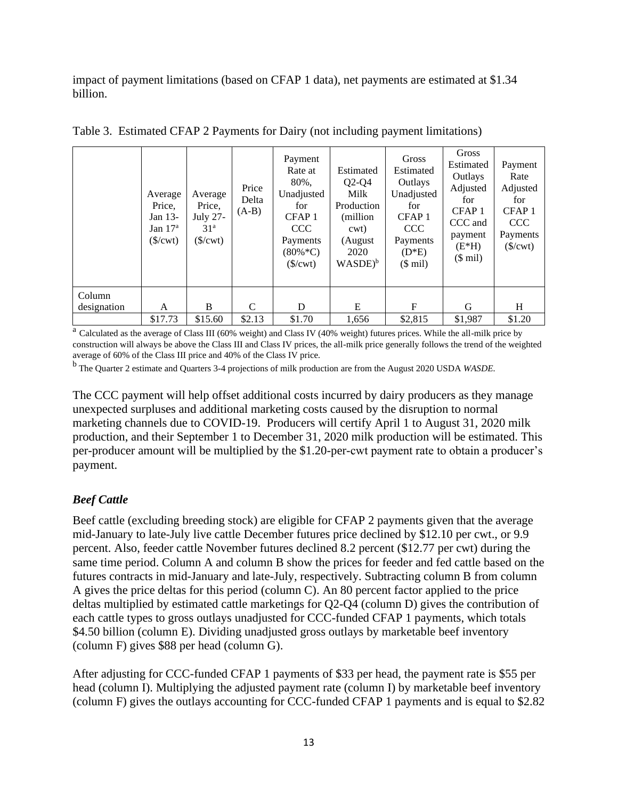impact of payment limitations (based on CFAP 1 data), net payments are estimated at \$1.34 billion.

|                       | Average<br>Price,<br>Jan 13-<br>Jan $17a$<br>$(\frac{\text{S}}{\text{Cwt}})$ | Average<br>Price,<br>July 27-<br>31 <sup>a</sup><br>$($/xt)$ | Price<br>Delta<br>$(A-B)$ | Payment<br>Rate at<br>80%,<br>Unadjusted<br>for<br>CFAP <sub>1</sub><br><b>CCC</b><br>Payments<br>$(80\% * C)$<br>(S/cwt) | Estimated<br>$Q2-Q4$<br>Milk<br>Production<br>(million)<br>cwt)<br>(August<br>2020<br>$WASDE$ <sup>b</sup> | Gross<br>Estimated<br><b>Outlays</b><br>Unadjusted<br>for<br>CFAP <sub>1</sub><br><b>CCC</b><br>Payments<br>$(D*E)$<br>$($$ mil) | Gross<br>Estimated<br>Outlays<br>Adjusted<br>for<br>CFAP <sub>1</sub><br>CCC and<br>payment<br>$(E*H)$<br>$($$ mil) | Payment<br>Rate<br>Adjusted<br>for<br>CFAP <sub>1</sub><br><b>CCC</b><br>Payments<br>$(\frac{\mathcal{S}}{\mathcal{C}} wt$ |
|-----------------------|------------------------------------------------------------------------------|--------------------------------------------------------------|---------------------------|---------------------------------------------------------------------------------------------------------------------------|------------------------------------------------------------------------------------------------------------|----------------------------------------------------------------------------------------------------------------------------------|---------------------------------------------------------------------------------------------------------------------|----------------------------------------------------------------------------------------------------------------------------|
| Column<br>designation | A                                                                            | B                                                            | C                         | D                                                                                                                         | E                                                                                                          | F                                                                                                                                | G                                                                                                                   | H                                                                                                                          |
|                       | \$17.73                                                                      | \$15.60                                                      | \$2.13                    | \$1.70                                                                                                                    | 1,656                                                                                                      | \$2,815                                                                                                                          | \$1,987                                                                                                             | \$1.20                                                                                                                     |

Table 3. Estimated CFAP 2 Payments for Dairy (not including payment limitations)

<sup>a</sup> Calculated as the average of Class III (60% weight) and Class IV (40% weight) futures prices. While the all-milk price by construction will always be above the Class III and Class IV prices, the all-milk price generally follows the trend of the weighted average of 60% of the Class III price and 40% of the Class IV price.

b The Quarter 2 estimate and Quarters 3-4 projections of milk production are from the August 2020 USDA *WASDE.*

The CCC payment will help offset additional costs incurred by dairy producers as they manage unexpected surpluses and additional marketing costs caused by the disruption to normal marketing channels due to COVID-19. Producers will certify April 1 to August 31, 2020 milk production, and their September 1 to December 31, 2020 milk production will be estimated. This per-producer amount will be multiplied by the \$1.20-per-cwt payment rate to obtain a producer's payment.

### *Beef Cattle*

Beef cattle (excluding breeding stock) are eligible for CFAP 2 payments given that the average mid-January to late-July live cattle December futures price declined by \$12.10 per cwt., or 9.9 percent. Also, feeder cattle November futures declined 8.2 percent (\$12.77 per cwt) during the same time period. Column A and column B show the prices for feeder and fed cattle based on the futures contracts in mid-January and late-July, respectively. Subtracting column B from column A gives the price deltas for this period (column C). An 80 percent factor applied to the price deltas multiplied by estimated cattle marketings for Q2-Q4 (column D) gives the contribution of each cattle types to gross outlays unadjusted for CCC-funded CFAP 1 payments, which totals \$4.50 billion (column E). Dividing unadjusted gross outlays by marketable beef inventory (column F) gives \$88 per head (column G).

After adjusting for CCC-funded CFAP 1 payments of \$33 per head, the payment rate is \$55 per head (column I). Multiplying the adjusted payment rate (column I) by marketable beef inventory (column F) gives the outlays accounting for CCC-funded CFAP 1 payments and is equal to \$2.82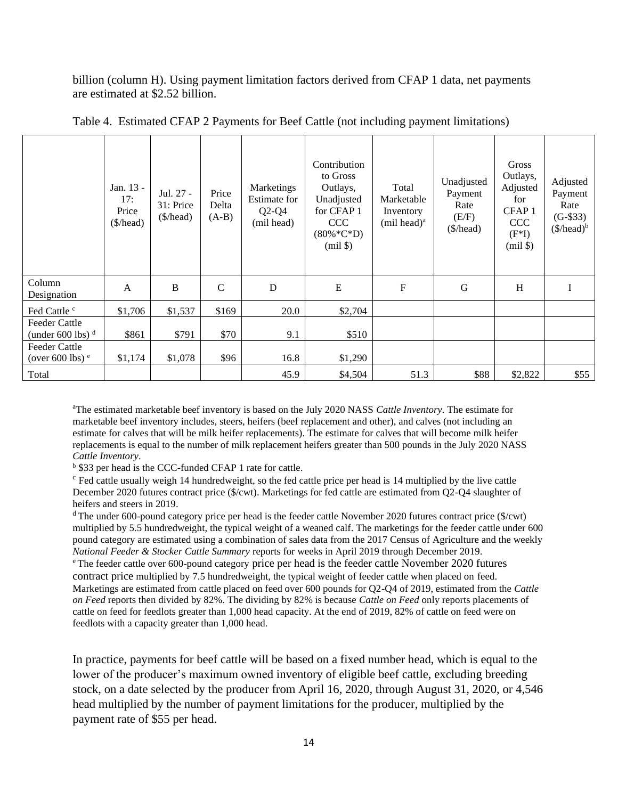billion (column H). Using payment limitation factors derived from CFAP 1 data, net payments are estimated at \$2.52 billion.

|                                            | Jan. 13 -<br>17:<br>Price<br>$(\frac{\pi}{6})$ | Jul. 27 -<br>31: Price<br>(\$/head) | Price<br>Delta<br>$(A-B)$ | Marketings<br>Estimate for<br>$Q2-Q4$<br>(mil head) | Contribution<br>to Gross<br>Outlays,<br>Unadjusted<br>for CFAP 1<br><b>CCC</b><br>$(80\% * C * D)$<br>$(mil \$ | Total<br>Marketable<br>Inventory<br>(mil head) <sup>a</sup> | Unadjusted<br>Payment<br>Rate<br>(E/F)<br>(\$/head) | <b>Gross</b><br>Outlays,<br>Adjusted<br>for<br>CFAP <sub>1</sub><br><b>CCC</b><br>$(F^*I)$<br>$(mil \$ | Adjusted<br>Payment<br>Rate<br>$(G-$33)$<br>$(\$/head)^b$ |
|--------------------------------------------|------------------------------------------------|-------------------------------------|---------------------------|-----------------------------------------------------|----------------------------------------------------------------------------------------------------------------|-------------------------------------------------------------|-----------------------------------------------------|--------------------------------------------------------------------------------------------------------|-----------------------------------------------------------|
| Column<br>Designation                      | A                                              | B                                   | $\mathsf{C}$              | D                                                   | E                                                                                                              | $\mathbf F$                                                 | G                                                   | H                                                                                                      | I                                                         |
| Fed Cattle c                               | \$1,706                                        | \$1,537                             | \$169                     | 20.0                                                | \$2,704                                                                                                        |                                                             |                                                     |                                                                                                        |                                                           |
| Feeder Cattle<br>(under 600 lbs) $d$       | \$861                                          | \$791                               | \$70                      | 9.1                                                 | \$510                                                                                                          |                                                             |                                                     |                                                                                                        |                                                           |
| <b>Feeder Cattle</b><br>(over 600 lbs) $e$ | \$1,174                                        | \$1,078                             | \$96                      | 16.8                                                | \$1,290                                                                                                        |                                                             |                                                     |                                                                                                        |                                                           |
| Total                                      |                                                |                                     |                           | 45.9                                                | \$4,504                                                                                                        | 51.3                                                        | \$88                                                | \$2,822                                                                                                | \$55                                                      |

Table 4. Estimated CFAP 2 Payments for Beef Cattle (not including payment limitations)

<sup>a</sup>The estimated marketable beef inventory is based on the July 2020 NASS *Cattle Inventory*. The estimate for marketable beef inventory includes, steers, heifers (beef replacement and other), and calves (not including an estimate for calves that will be milk heifer replacements). The estimate for calves that will become milk heifer replacements is equal to the number of milk replacement heifers greater than 500 pounds in the July 2020 NASS *Cattle Inventory*.

<sup>b</sup> \$33 per head is the CCC-funded CFAP 1 rate for cattle.

<sup>c</sup> Fed cattle usually weigh 14 hundredweight, so the fed cattle price per head is 14 multiplied by the live cattle December 2020 futures contract price (\$/cwt). Marketings for fed cattle are estimated from Q2-Q4 slaughter of heifers and steers in 2019.

 $d$  The under 600-pound category price per head is the feeder cattle November 2020 futures contract price (\$/cwt) multiplied by 5.5 hundredweight, the typical weight of a weaned calf. The marketings for the feeder cattle under 600 pound category are estimated using a combination of sales data from the 2017 Census of Agriculture and the weekly *National Feeder & Stocker Cattle Summary* reports for weeks in April 2019 through December 2019. <sup>e</sup> The feeder cattle over 600-pound category price per head is the feeder cattle November 2020 futures contract price multiplied by 7.5 hundredweight, the typical weight of feeder cattle when placed on feed. Marketings are estimated from cattle placed on feed over 600 pounds for Q2-Q4 of 2019, estimated from the *Cattle on Feed* reports then divided by 82%. The dividing by 82% is because *Cattle on Feed* only reports placements of cattle on feed for feedlots greater than 1,000 head capacity. At the end of 2019, 82% of cattle on feed were on feedlots with a capacity greater than 1,000 head.

In practice, payments for beef cattle will be based on a fixed number head, which is equal to the lower of the producer's maximum owned inventory of eligible beef cattle, excluding breeding stock, on a date selected by the producer from April 16, 2020, through August 31, 2020, or 4,546 head multiplied by the number of payment limitations for the producer, multiplied by the payment rate of \$55 per head.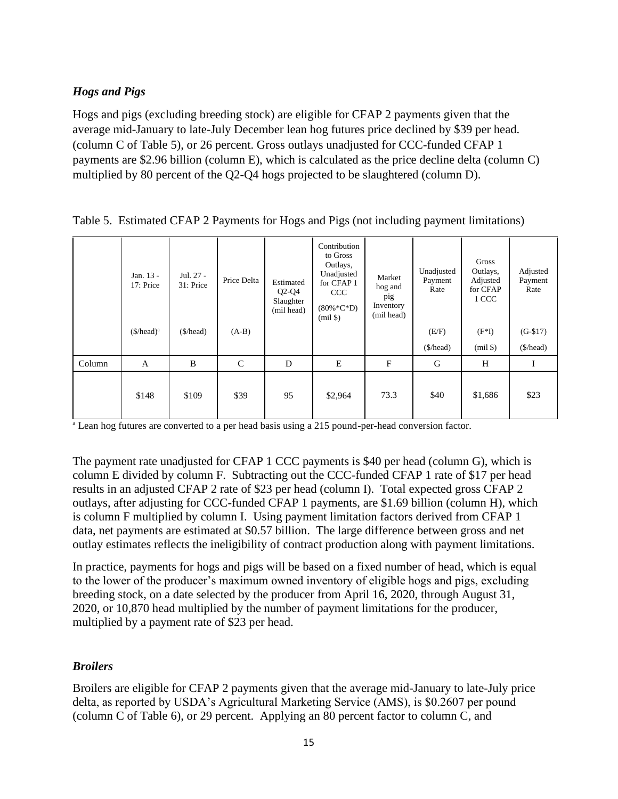# *Hogs and Pigs*

Hogs and pigs (excluding breeding stock) are eligible for CFAP 2 payments given that the average mid-January to late-July December lean hog futures price declined by \$39 per head. (column C of Table 5), or 26 percent. Gross outlays unadjusted for CCC-funded CFAP 1 payments are \$2.96 billion (column E), which is calculated as the price decline delta (column C) multiplied by 80 percent of the Q2-Q4 hogs projected to be slaughtered (column D).

|        | Jan. 13 -<br>17: Price | Jul. 27 -<br>31: Price | Price Delta  | Estimated<br>$Q2-Q4$<br>Slaughter<br>(mil head) | Contribution<br>to Gross<br>Outlays,<br>Unadjusted<br>for CFAP 1<br>CCC<br>$(80\% * C * D)$<br>$(mil \$ | Market<br>hog and<br>pig<br>Inventory<br>(mil head) | Unadjusted<br>Payment<br>Rate | Gross<br>Outlays,<br>Adjusted<br>for CFAP<br>1 CCC | Adjusted<br>Payment<br>Rate |
|--------|------------------------|------------------------|--------------|-------------------------------------------------|---------------------------------------------------------------------------------------------------------|-----------------------------------------------------|-------------------------------|----------------------------------------------------|-----------------------------|
|        | $($/head)^a$           | (\$/head)              | $(A-B)$      |                                                 |                                                                                                         |                                                     | (E/F)                         | $(F^*I)$                                           | $(G-$17)$                   |
|        |                        |                        |              |                                                 |                                                                                                         |                                                     | (\$/head)                     | $(mil \$                                           | (\$/head)                   |
| Column | A                      | B                      | $\mathsf{C}$ | D                                               | ${\bf E}$                                                                                               | $\mathbf{F}$                                        | G                             | H                                                  |                             |
|        | \$148                  | \$109                  | \$39         | 95                                              | \$2,964                                                                                                 | 73.3                                                | \$40                          | \$1,686                                            | \$23                        |

| Table 5. Estimated CFAP 2 Payments for Hogs and Pigs (not including payment limitations) |  |  |
|------------------------------------------------------------------------------------------|--|--|
|                                                                                          |  |  |

<sup>a</sup> Lean hog futures are converted to a per head basis using a 215 pound-per-head conversion factor.

The payment rate unadjusted for CFAP 1 CCC payments is \$40 per head (column G), which is column E divided by column F. Subtracting out the CCC-funded CFAP 1 rate of \$17 per head results in an adjusted CFAP 2 rate of \$23 per head (column I). Total expected gross CFAP 2 outlays, after adjusting for CCC-funded CFAP 1 payments, are \$1.69 billion (column H), which is column F multiplied by column I. Using payment limitation factors derived from CFAP 1 data, net payments are estimated at \$0.57 billion. The large difference between gross and net outlay estimates reflects the ineligibility of contract production along with payment limitations.

In practice, payments for hogs and pigs will be based on a fixed number of head, which is equal to the lower of the producer's maximum owned inventory of eligible hogs and pigs, excluding breeding stock, on a date selected by the producer from April 16, 2020, through August 31, 2020, or 10,870 head multiplied by the number of payment limitations for the producer, multiplied by a payment rate of \$23 per head.

### *Broilers*

Broilers are eligible for CFAP 2 payments given that the average mid-January to late-July price delta, as reported by USDA's Agricultural Marketing Service (AMS), is \$0.2607 per pound (column C of Table 6), or 29 percent. Applying an 80 percent factor to column C, and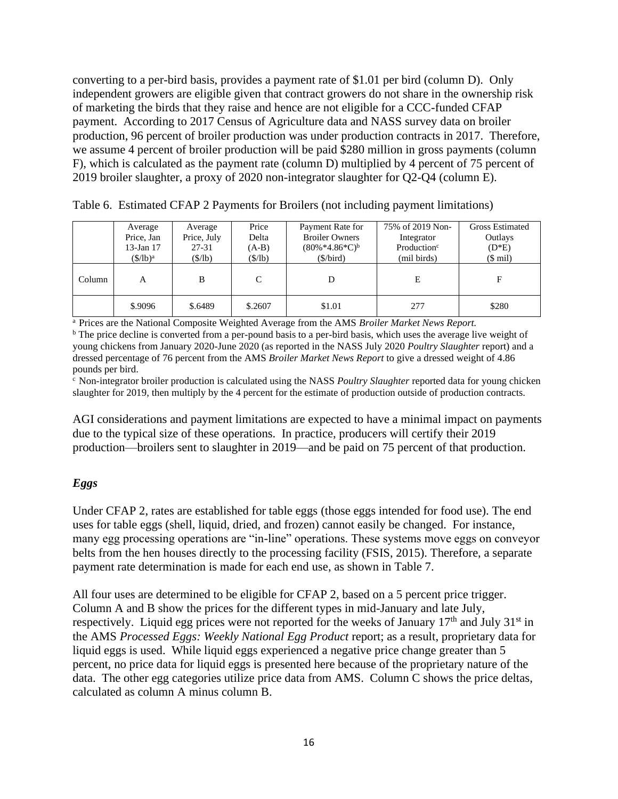converting to a per-bird basis, provides a payment rate of \$1.01 per bird (column D). Only independent growers are eligible given that contract growers do not share in the ownership risk of marketing the birds that they raise and hence are not eligible for a CCC-funded CFAP payment. According to 2017 Census of Agriculture data and NASS survey data on broiler production, 96 percent of broiler production was under production contracts in 2017. Therefore, we assume 4 percent of broiler production will be paid \$280 million in gross payments (column F), which is calculated as the payment rate (column D) multiplied by 4 percent of 75 percent of 2019 broiler slaughter, a proxy of 2020 non-integrator slaughter for Q2-Q4 (column E).

|        | Average           | Average         | Price   | Payment Rate for      | 75% of 2019 Non-        | <b>Gross Estimated</b> |
|--------|-------------------|-----------------|---------|-----------------------|-------------------------|------------------------|
|        | Price, Jan        | Price, July     | Delta   | <b>Broiler Owners</b> | Integrator              | Outlays                |
|        | $13$ -Jan $17$    | 27-31           | $(A-B)$ | $(80\% *4.86*C)^b$    | Production <sup>c</sup> | $(D*E)$                |
|        | $(\frac{f}{b})^a$ | $(S/\text{lb})$ | (S/lb)  | (\$/bird)             | (mil birds)             | $($$ mil)              |
| Column | A                 | B               |         |                       | E                       | F                      |
|        | \$.9096           | \$.6489         | \$.2607 | \$1.01                | 277                     | \$280                  |

Table 6. Estimated CFAP 2 Payments for Broilers (not including payment limitations)

<sup>a</sup> Prices are the National Composite Weighted Average from the AMS *Broiler Market News Report.* 

 $\overline{b}$  The price decline is converted from a per-pound basis to a per-bird basis, which uses the average live weight of young chickens from January 2020-June 2020 (as reported in the NASS July 2020 *Poultry Slaughter* report) and a dressed percentage of 76 percent from the AMS *Broiler Market News Report* to give a dressed weight of 4.86 pounds per bird.

 $c$  Non-integrator broiler production is calculated using the NASS *Poultry Slaughter* reported data for young chicken slaughter for 2019, then multiply by the 4 percent for the estimate of production outside of production contracts.

AGI considerations and payment limitations are expected to have a minimal impact on payments due to the typical size of these operations. In practice, producers will certify their 2019 production—broilers sent to slaughter in 2019—and be paid on 75 percent of that production.

### *Eggs*

Under CFAP 2, rates are established for table eggs (those eggs intended for food use). The end uses for table eggs (shell, liquid, dried, and frozen) cannot easily be changed. For instance, many egg processing operations are "in-line" operations. These systems move eggs on conveyor belts from the hen houses directly to the processing facility (FSIS, 2015). Therefore, a separate payment rate determination is made for each end use, as shown in Table 7.

All four uses are determined to be eligible for CFAP 2, based on a 5 percent price trigger. Column A and B show the prices for the different types in mid-January and late July, respectively. Liquid egg prices were not reported for the weeks of January  $17<sup>th</sup>$  and July  $31<sup>st</sup>$  in the AMS *Processed Eggs: Weekly National Egg Product* report; as a result, proprietary data for liquid eggs is used. While liquid eggs experienced a negative price change greater than 5 percent, no price data for liquid eggs is presented here because of the proprietary nature of the data. The other egg categories utilize price data from AMS. Column C shows the price deltas, calculated as column A minus column B.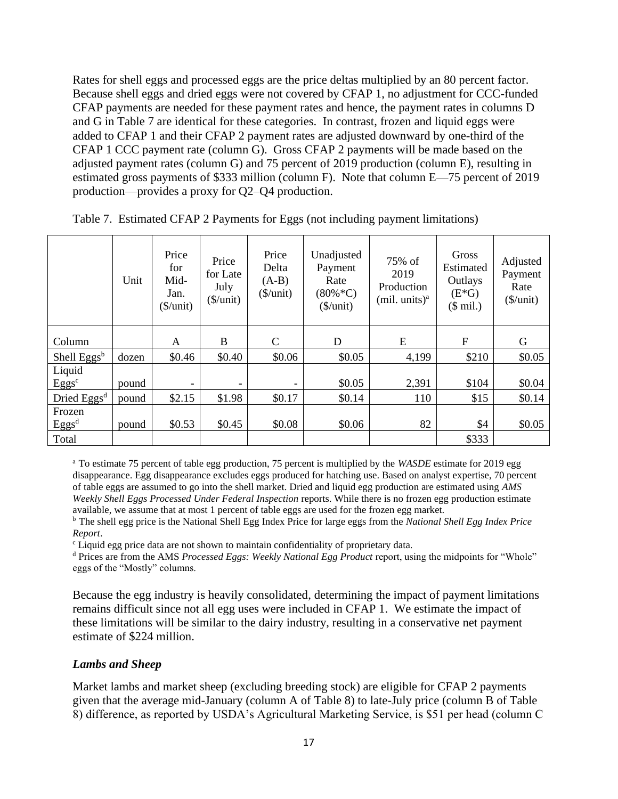Rates for shell eggs and processed eggs are the price deltas multiplied by an 80 percent factor. Because shell eggs and dried eggs were not covered by CFAP 1, no adjustment for CCC-funded CFAP payments are needed for these payment rates and hence, the payment rates in columns D and G in Table 7 are identical for these categories. In contrast, frozen and liquid eggs were added to CFAP 1 and their CFAP 2 payment rates are adjusted downward by one-third of the CFAP 1 CCC payment rate (column G). Gross CFAP 2 payments will be made based on the adjusted payment rates (column G) and 75 percent of 2019 production (column E), resulting in estimated gross payments of \$333 million (column F). Note that column E—75 percent of 2019 production—provides a proxy for Q2–Q4 production.

|                             | Unit  | Price<br>for<br>Mid-<br>Jan.<br>$(\frac{\sqrt{2}}{\sqrt{2}})$ | Price<br>for Late<br>July<br>$(\frac{\sqrt{2}}{\sqrt{2}})$ | Price<br>Delta<br>$(A-B)$<br>$(\$/unit)$ | Unadjusted<br>Payment<br>Rate<br>$(80\% * C)$<br>$(\frac{\sqrt{2}}{\sqrt{2}})$ | 75% of<br>2019<br>Production<br>(mil. units) <sup>a</sup> | Gross<br>Estimated<br>Outlays<br>$(E*G)$<br>$($$ mil.) | Adjusted<br>Payment<br>Rate<br>$(\frac{\sqrt{2}}{\sqrt{2}})$ |
|-----------------------------|-------|---------------------------------------------------------------|------------------------------------------------------------|------------------------------------------|--------------------------------------------------------------------------------|-----------------------------------------------------------|--------------------------------------------------------|--------------------------------------------------------------|
| Column                      |       | A                                                             | B                                                          | $\mathsf{C}$                             | D                                                                              | E                                                         | F                                                      | G                                                            |
| Shell Eggs <sup>b</sup>     | dozen | \$0.46                                                        | \$0.40                                                     | \$0.06                                   | \$0.05                                                                         | 4,199                                                     | \$210                                                  | \$0.05                                                       |
| Liquid<br>Eggs <sup>c</sup> | pound |                                                               |                                                            | -                                        | \$0.05                                                                         | 2,391                                                     | \$104                                                  | \$0.04                                                       |
| Dried Eggs <sup>d</sup>     | pound | \$2.15                                                        | \$1.98                                                     | \$0.17                                   | \$0.14                                                                         | 110                                                       | \$15                                                   | \$0.14                                                       |
| Frozen<br>Eggs <sup>d</sup> | pound | \$0.53                                                        | \$0.45                                                     | \$0.08                                   | \$0.06                                                                         | 82                                                        | \$4                                                    | \$0.05                                                       |
| Total                       |       |                                                               |                                                            |                                          |                                                                                |                                                           | \$333                                                  |                                                              |

Table 7. Estimated CFAP 2 Payments for Eggs (not including payment limitations)

<sup>a</sup> To estimate 75 percent of table egg production, 75 percent is multiplied by the *WASDE* estimate for 2019 egg disappearance. Egg disappearance excludes eggs produced for hatching use. Based on analyst expertise, 70 percent of table eggs are assumed to go into the shell market. Dried and liquid egg production are estimated using *AMS Weekly Shell Eggs Processed Under Federal Inspection* reports. While there is no frozen egg production estimate available, we assume that at most 1 percent of table eggs are used for the frozen egg market.

<sup>b</sup> The shell egg price is the National Shell Egg Index Price for large eggs from the *National Shell Egg Index Price Report*.

<sup>c</sup> Liquid egg price data are not shown to maintain confidentiality of proprietary data.

<sup>d</sup> Prices are from the AMS *Processed Eggs: Weekly National Egg Product* report, using the midpoints for "Whole" eggs of the "Mostly" columns.

Because the egg industry is heavily consolidated, determining the impact of payment limitations remains difficult since not all egg uses were included in CFAP 1. We estimate the impact of these limitations will be similar to the dairy industry, resulting in a conservative net payment estimate of \$224 million.

#### *Lambs and Sheep*

Market lambs and market sheep (excluding breeding stock) are eligible for CFAP 2 payments given that the average mid-January (column A of Table 8) to late-July price (column B of Table 8) difference, as reported by USDA's Agricultural Marketing Service, is \$51 per head (column C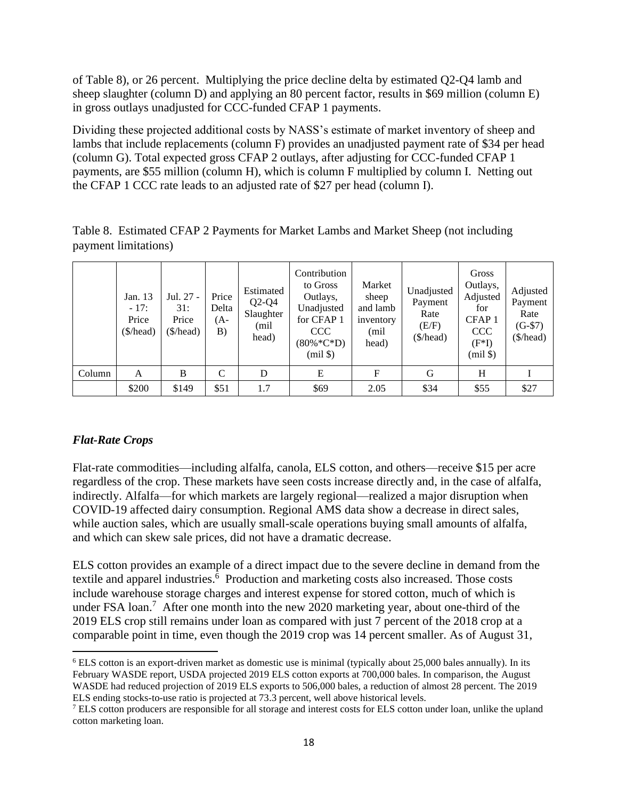of Table 8), or 26 percent. Multiplying the price decline delta by estimated Q2-Q4 lamb and sheep slaughter (column D) and applying an 80 percent factor, results in \$69 million (column E) in gross outlays unadjusted for CCC-funded CFAP 1 payments.

Dividing these projected additional costs by NASS's estimate of market inventory of sheep and lambs that include replacements (column F) provides an unadjusted payment rate of \$34 per head (column G). Total expected gross CFAP 2 outlays, after adjusting for CCC-funded CFAP 1 payments, are \$55 million (column H), which is column F multiplied by column I. Netting out the CFAP 1 CCC rate leads to an adjusted rate of \$27 per head (column I).

| Table 8. Estimated CFAP 2 Payments for Market Lambs and Market Sheep (not including |
|-------------------------------------------------------------------------------------|
| payment limitations)                                                                |

|        | Jan. 13<br>$-17:$<br>Price<br>(\$/head) | Jul. 27 -<br>31:<br>Price<br>(\$/head) | Price<br>Delta<br>(A-<br>B) | Estimated<br>$Q2-Q4$<br>Slaughter<br>(mil<br>head) | Contribution<br>to Gross<br>Outlays,<br>Unadjusted<br>for CFAP 1<br><b>CCC</b><br>$(80\% * C * D)$<br>$(mil \$ | Market<br>sheep<br>and lamb<br>inventory<br>(mil)<br>head) | Unadjusted<br>Payment<br>Rate<br>(E/F)<br>(\$/head) | Gross<br>Outlays,<br>Adjusted<br>for<br>CFAP <sub>1</sub><br>CCC<br>$(F^*I)$<br>$(mil \$ | Adjusted<br>Payment<br>Rate<br>$(G-$7)$<br>(\$/head) |
|--------|-----------------------------------------|----------------------------------------|-----------------------------|----------------------------------------------------|----------------------------------------------------------------------------------------------------------------|------------------------------------------------------------|-----------------------------------------------------|------------------------------------------------------------------------------------------|------------------------------------------------------|
| Column | A                                       | B                                      | C                           | D                                                  | E                                                                                                              | F                                                          | G                                                   | H                                                                                        |                                                      |
|        | \$200                                   | \$149                                  | \$51                        | 1.7                                                | \$69                                                                                                           | 2.05                                                       | \$34                                                | \$55                                                                                     | \$27                                                 |

### *Flat-Rate Crops*

Flat-rate commodities—including alfalfa, canola, ELS cotton, and others—receive \$15 per acre regardless of the crop. These markets have seen costs increase directly and, in the case of alfalfa, indirectly. Alfalfa—for which markets are largely regional—realized a major disruption when COVID-19 affected dairy consumption. Regional AMS data show a decrease in direct sales, while auction sales, which are usually small-scale operations buying small amounts of alfalfa, and which can skew sale prices, did not have a dramatic decrease.

ELS cotton provides an example of a direct impact due to the severe decline in demand from the textile and apparel industries.<sup>6</sup> Production and marketing costs also increased. Those costs include warehouse storage charges and interest expense for stored cotton, much of which is under FSA loan.<sup>7</sup> After one month into the new 2020 marketing year, about one-third of the 2019 ELS crop still remains under loan as compared with just 7 percent of the 2018 crop at a comparable point in time, even though the 2019 crop was 14 percent smaller. As of August 31,

<sup>6</sup> ELS cotton is an export-driven market as domestic use is minimal (typically about 25,000 bales annually). In its February WASDE report, USDA projected 2019 ELS cotton exports at 700,000 bales. In comparison, the August WASDE had reduced projection of 2019 ELS exports to 506,000 bales, a reduction of almost 28 percent. The 2019 ELS ending stocks-to-use ratio is projected at 73.3 percent, well above historical levels.

<sup>7</sup> ELS cotton producers are responsible for all storage and interest costs for ELS cotton under loan, unlike the upland cotton marketing loan.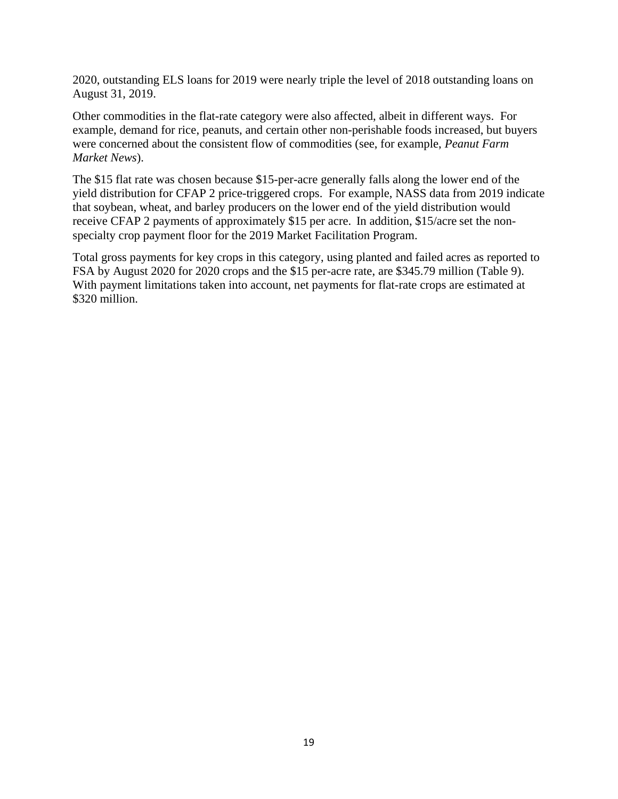2020, outstanding ELS loans for 2019 were nearly triple the level of 2018 outstanding loans on August 31, 2019.

Other commodities in the flat-rate category were also affected, albeit in different ways. For example, demand for rice, peanuts, and certain other non-perishable foods increased, but buyers were concerned about the consistent flow of commodities (see, for example, *Peanut Farm Market News*).

The \$15 flat rate was chosen because \$15-per-acre generally falls along the lower end of the yield distribution for CFAP 2 price-triggered crops. For example, NASS data from 2019 indicate that soybean, wheat, and barley producers on the lower end of the yield distribution would receive CFAP 2 payments of approximately \$15 per acre. In addition, \$15/acre set the nonspecialty crop payment floor for the 2019 Market Facilitation Program.

Total gross payments for key crops in this category, using planted and failed acres as reported to FSA by August 2020 for 2020 crops and the \$15 per-acre rate, are \$345.79 million (Table 9). With payment limitations taken into account, net payments for flat-rate crops are estimated at \$320 million.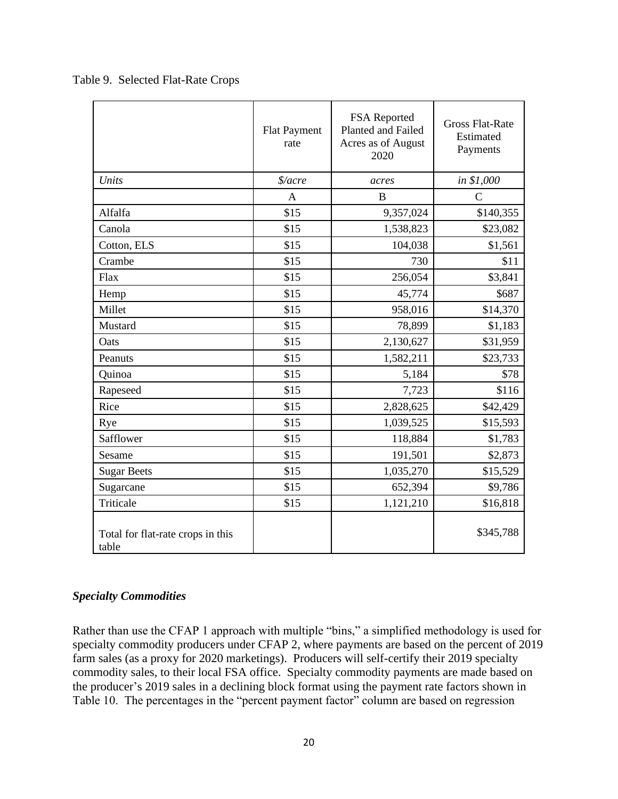|                                            | <b>Flat Payment</b><br>rate | FSA Reported<br>Planted and Failed<br>Acres as of August<br>2020 | <b>Gross Flat-Rate</b><br>Estimated<br>Payments |
|--------------------------------------------|-----------------------------|------------------------------------------------------------------|-------------------------------------------------|
| Units                                      | $\frac{s}{area}$            | acres                                                            | in \$1,000                                      |
|                                            | A                           | B                                                                | $\mathcal{C}$                                   |
| Alfalfa                                    | \$15                        | 9,357,024                                                        | \$140,355                                       |
| Canola                                     | \$15                        | 1,538,823                                                        | \$23,082                                        |
| Cotton, ELS                                | \$15                        | 104,038                                                          | \$1,561                                         |
| Crambe                                     | \$15                        | 730                                                              | \$11                                            |
| Flax                                       | \$15                        | 256,054                                                          | \$3,841                                         |
| Hemp                                       | \$15                        | 45,774                                                           | \$687                                           |
| Millet                                     | \$15                        | 958,016                                                          | \$14,370                                        |
| Mustard                                    | \$15                        | 78,899                                                           | \$1,183                                         |
| Oats                                       | \$15                        | 2,130,627                                                        | \$31,959                                        |
| Peanuts                                    | \$15                        | 1,582,211                                                        | \$23,733                                        |
| Quinoa                                     | \$15                        | 5,184                                                            | \$78                                            |
| Rapeseed                                   | \$15                        | 7,723                                                            | \$116                                           |
| Rice                                       | \$15                        | 2,828,625                                                        | \$42,429                                        |
| Rye                                        | \$15                        | 1,039,525                                                        | \$15,593                                        |
| Safflower                                  | \$15                        | 118,884                                                          | \$1,783                                         |
| Sesame                                     | \$15                        | 191,501                                                          | \$2,873                                         |
| <b>Sugar Beets</b>                         | \$15                        | 1,035,270                                                        | \$15,529                                        |
| Sugarcane                                  | \$15                        | 652,394                                                          | \$9,786                                         |
| Triticale                                  | \$15                        | 1,121,210                                                        | \$16,818                                        |
| Total for flat-rate crops in this<br>table |                             |                                                                  | \$345,788                                       |

Table 9. Selected Flat-Rate Crops

### *Specialty Commodities*

Rather than use the CFAP 1 approach with multiple "bins," a simplified methodology is used for specialty commodity producers under CFAP 2, where payments are based on the percent of 2019 farm sales (as a proxy for 2020 marketings). Producers will self-certify their 2019 specialty commodity sales, to their local FSA office. Specialty commodity payments are made based on the producer's 2019 sales in a declining block format using the payment rate factors shown in Table 10. The percentages in the "percent payment factor" column are based on regression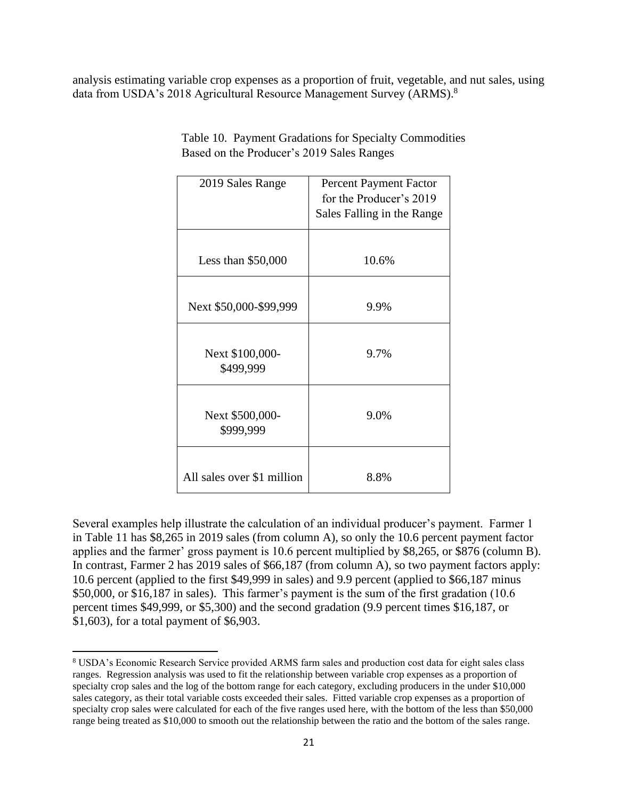analysis estimating variable crop expenses as a proportion of fruit, vegetable, and nut sales, using data from USDA's 2018 Agricultural Resource Management Survey (ARMS).<sup>8</sup>

| 2019 Sales Range             | <b>Percent Payment Factor</b><br>for the Producer's 2019 |
|------------------------------|----------------------------------------------------------|
|                              | Sales Falling in the Range                               |
|                              |                                                          |
| Less than $$50,000$          | 10.6%                                                    |
|                              |                                                          |
| Next \$50,000-\$99,999       | 9.9%                                                     |
|                              |                                                          |
| Next \$100,000-<br>\$499,999 | 9.7%                                                     |
|                              |                                                          |
| Next \$500,000-<br>\$999,999 | 9.0%                                                     |
|                              |                                                          |
| All sales over \$1 million   | 8.8%                                                     |

Table 10. Payment Gradations for Specialty Commodities Based on the Producer's 2019 Sales Ranges

Several examples help illustrate the calculation of an individual producer's payment. Farmer 1 in Table 11 has \$8,265 in 2019 sales (from column A), so only the 10.6 percent payment factor applies and the farmer' gross payment is 10.6 percent multiplied by \$8,265, or \$876 (column B). In contrast, Farmer 2 has 2019 sales of \$66,187 (from column A), so two payment factors apply: 10.6 percent (applied to the first \$49,999 in sales) and 9.9 percent (applied to \$66,187 minus \$50,000, or \$16,187 in sales). This farmer's payment is the sum of the first gradation (10.6) percent times \$49,999, or \$5,300) and the second gradation (9.9 percent times \$16,187, or \$1,603), for a total payment of \$6,903.

<sup>8</sup> USDA's Economic Research Service provided ARMS farm sales and production cost data for eight sales class ranges. Regression analysis was used to fit the relationship between variable crop expenses as a proportion of specialty crop sales and the log of the bottom range for each category, excluding producers in the under \$10,000 sales category, as their total variable costs exceeded their sales. Fitted variable crop expenses as a proportion of specialty crop sales were calculated for each of the five ranges used here, with the bottom of the less than \$50,000 range being treated as \$10,000 to smooth out the relationship between the ratio and the bottom of the sales range.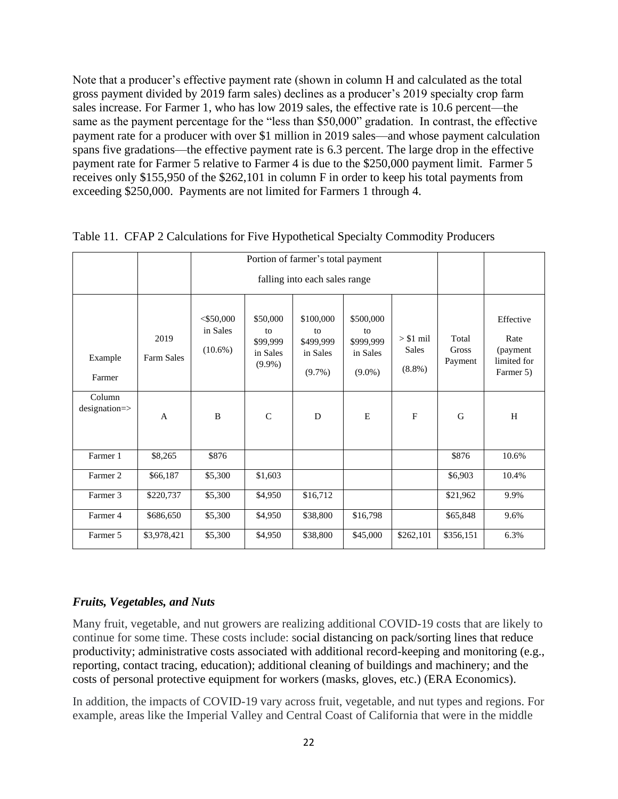Note that a producer's effective payment rate (shown in column H and calculated as the total gross payment divided by 2019 farm sales) declines as a producer's 2019 specialty crop farm sales increase. For Farmer 1, who has low 2019 sales, the effective rate is 10.6 percent—the same as the payment percentage for the "less than \$50,000" gradation. In contrast, the effective payment rate for a producer with over \$1 million in 2019 sales—and whose payment calculation spans five gradations—the effective payment rate is 6.3 percent. The large drop in the effective payment rate for Farmer 5 relative to Farmer 4 is due to the \$250,000 payment limit. Farmer 5 receives only \$155,950 of the \$262,101 in column F in order to keep his total payments from exceeding \$250,000. Payments are not limited for Farmers 1 through 4.

|                             |                    | Portion of farmer's total payment      |                                                     |                                                       |                                                       |                                         |                                  |                                                            |
|-----------------------------|--------------------|----------------------------------------|-----------------------------------------------------|-------------------------------------------------------|-------------------------------------------------------|-----------------------------------------|----------------------------------|------------------------------------------------------------|
|                             |                    | falling into each sales range          |                                                     |                                                       |                                                       |                                         |                                  |                                                            |
| Example<br>Farmer           | 2019<br>Farm Sales | $<$ \$50,000<br>in Sales<br>$(10.6\%)$ | \$50,000<br>to<br>\$99,999<br>in Sales<br>$(9.9\%)$ | \$100,000<br>to<br>\$499,999<br>in Sales<br>$(9.7\%)$ | \$500,000<br>to<br>\$999,999<br>in Sales<br>$(9.0\%)$ | $> $1$ mil<br><b>Sales</b><br>$(8.8\%)$ | Total<br><b>Gross</b><br>Payment | Effective<br>Rate<br>(payment)<br>limited for<br>Farmer 5) |
| Column<br>$designation = >$ | $\mathbf{A}$       | B                                      | $\mathcal{C}$                                       | D                                                     | E                                                     | F                                       | G                                | H                                                          |
| Farmer 1                    | \$8,265            | \$876                                  |                                                     |                                                       |                                                       |                                         | \$876                            | 10.6%                                                      |
| Farmer 2                    | \$66,187           | \$5,300                                | \$1,603                                             |                                                       |                                                       |                                         | \$6,903                          | 10.4%                                                      |
| Farmer 3                    | \$220,737          | \$5,300                                | \$4,950                                             | \$16,712                                              |                                                       |                                         | \$21,962                         | 9.9%                                                       |
| Farmer 4                    | \$686,650          | \$5,300                                | \$4,950                                             | \$38,800                                              | \$16,798                                              |                                         | \$65,848                         | 9.6%                                                       |
| Farmer 5                    | \$3,978,421        | \$5,300                                | \$4,950                                             | \$38,800                                              | \$45,000                                              | \$262,101                               | \$356,151                        | 6.3%                                                       |

Table 11. CFAP 2 Calculations for Five Hypothetical Specialty Commodity Producers

### *Fruits, Vegetables, and Nuts*

Many fruit, vegetable, and nut growers are realizing additional COVID-19 costs that are likely to continue for some time. These costs include: social distancing on pack/sorting lines that reduce productivity; administrative costs associated with additional record-keeping and monitoring (e.g., reporting, contact tracing, education); additional cleaning of buildings and machinery; and the costs of personal protective equipment for workers (masks, gloves, etc.) (ERA Economics).

In addition, the impacts of COVID-19 vary across fruit, vegetable, and nut types and regions. For example, areas like the Imperial Valley and Central Coast of California that were in the middle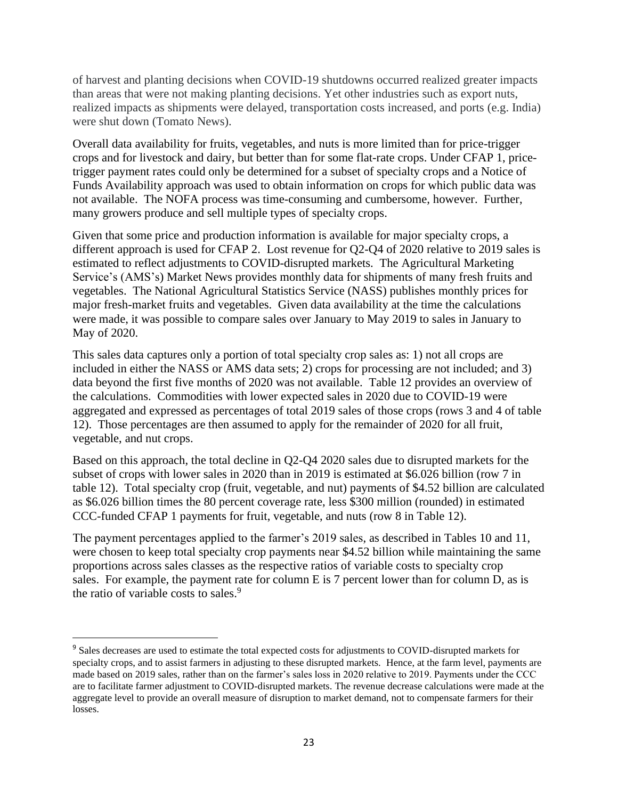of harvest and planting decisions when COVID-19 shutdowns occurred realized greater impacts than areas that were not making planting decisions. Yet other industries such as export nuts, realized impacts as shipments were delayed, transportation costs increased, and ports (e.g. India) were shut down (Tomato News).

Overall data availability for fruits, vegetables, and nuts is more limited than for price-trigger crops and for livestock and dairy, but better than for some flat-rate crops. Under CFAP 1, pricetrigger payment rates could only be determined for a subset of specialty crops and a Notice of Funds Availability approach was used to obtain information on crops for which public data was not available. The NOFA process was time-consuming and cumbersome, however. Further, many growers produce and sell multiple types of specialty crops.

Given that some price and production information is available for major specialty crops, a different approach is used for CFAP 2. Lost revenue for Q2-Q4 of 2020 relative to 2019 sales is estimated to reflect adjustments to COVID-disrupted markets. The Agricultural Marketing Service's (AMS's) Market News provides monthly data for shipments of many fresh fruits and vegetables. The National Agricultural Statistics Service (NASS) publishes monthly prices for major fresh-market fruits and vegetables. Given data availability at the time the calculations were made, it was possible to compare sales over January to May 2019 to sales in January to May of 2020.

This sales data captures only a portion of total specialty crop sales as: 1) not all crops are included in either the NASS or AMS data sets; 2) crops for processing are not included; and 3) data beyond the first five months of 2020 was not available. Table 12 provides an overview of the calculations. Commodities with lower expected sales in 2020 due to COVID-19 were aggregated and expressed as percentages of total 2019 sales of those crops (rows 3 and 4 of table 12). Those percentages are then assumed to apply for the remainder of 2020 for all fruit, vegetable, and nut crops.

Based on this approach, the total decline in Q2-Q4 2020 sales due to disrupted markets for the subset of crops with lower sales in 2020 than in 2019 is estimated at \$6.026 billion (row 7 in table 12). Total specialty crop (fruit, vegetable, and nut) payments of \$4.52 billion are calculated as \$6.026 billion times the 80 percent coverage rate, less \$300 million (rounded) in estimated CCC-funded CFAP 1 payments for fruit, vegetable, and nuts (row 8 in Table 12).

The payment percentages applied to the farmer's 2019 sales, as described in Tables 10 and 11, were chosen to keep total specialty crop payments near \$4.52 billion while maintaining the same proportions across sales classes as the respective ratios of variable costs to specialty crop sales. For example, the payment rate for column E is 7 percent lower than for column D, as is the ratio of variable costs to sales.<sup>9</sup>

<sup>&</sup>lt;sup>9</sup> Sales decreases are used to estimate the total expected costs for adjustments to COVID-disrupted markets for specialty crops, and to assist farmers in adjusting to these disrupted markets. Hence, at the farm level, payments are made based on 2019 sales, rather than on the farmer's sales loss in 2020 relative to 2019. Payments under the CCC are to facilitate farmer adjustment to COVID-disrupted markets. The revenue decrease calculations were made at the aggregate level to provide an overall measure of disruption to market demand, not to compensate farmers for their losses.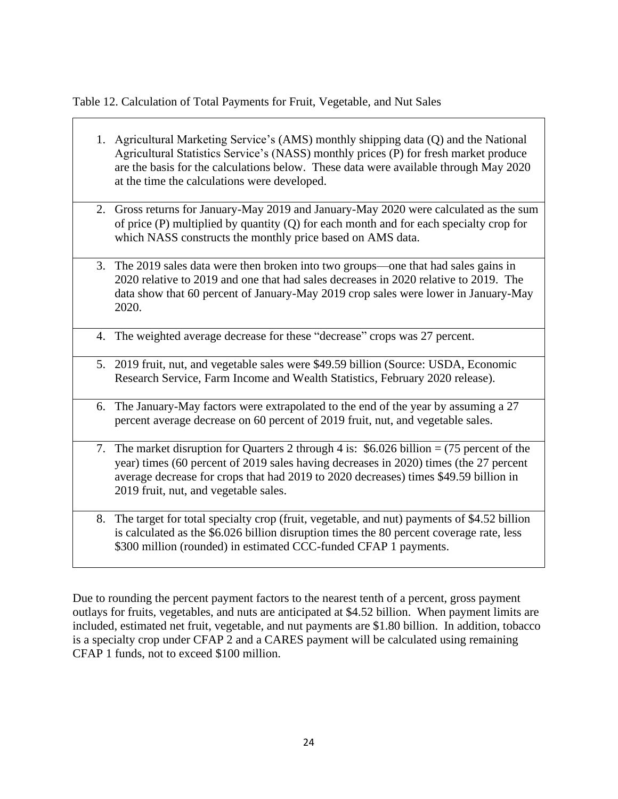Table 12. Calculation of Total Payments for Fruit, Vegetable, and Nut Sales

- 1. Agricultural Marketing Service's (AMS) monthly shipping data (Q) and the National Agricultural Statistics Service's (NASS) monthly prices (P) for fresh market produce are the basis for the calculations below. These data were available through May 2020 at the time the calculations were developed.
- 2. Gross returns for January-May 2019 and January-May 2020 were calculated as the sum of price (P) multiplied by quantity (Q) for each month and for each specialty crop for which NASS constructs the monthly price based on AMS data.
- 3. The 2019 sales data were then broken into two groups—one that had sales gains in 2020 relative to 2019 and one that had sales decreases in 2020 relative to 2019. The data show that 60 percent of January-May 2019 crop sales were lower in January-May 2020.
- 4. The weighted average decrease for these "decrease" crops was 27 percent.
- 5. 2019 fruit, nut, and vegetable sales were \$49.59 billion (Source: USDA, Economic Research Service, Farm Income and Wealth Statistics, February 2020 release).
- 6. The January-May factors were extrapolated to the end of the year by assuming a 27 percent average decrease on 60 percent of 2019 fruit, nut, and vegetable sales.
- 7. The market disruption for Quarters 2 through 4 is: \$6.026 billion = (75 percent of the year) times (60 percent of 2019 sales having decreases in 2020) times (the 27 percent average decrease for crops that had 2019 to 2020 decreases) times \$49.59 billion in 2019 fruit, nut, and vegetable sales.
- 8. The target for total specialty crop (fruit, vegetable, and nut) payments of \$4.52 billion is calculated as the \$6.026 billion disruption times the 80 percent coverage rate, less \$300 million (rounded) in estimated CCC-funded CFAP 1 payments.

Due to rounding the percent payment factors to the nearest tenth of a percent, gross payment outlays for fruits, vegetables, and nuts are anticipated at \$4.52 billion. When payment limits are included, estimated net fruit, vegetable, and nut payments are \$1.80 billion. In addition, tobacco is a specialty crop under CFAP 2 and a CARES payment will be calculated using remaining CFAP 1 funds, not to exceed \$100 million.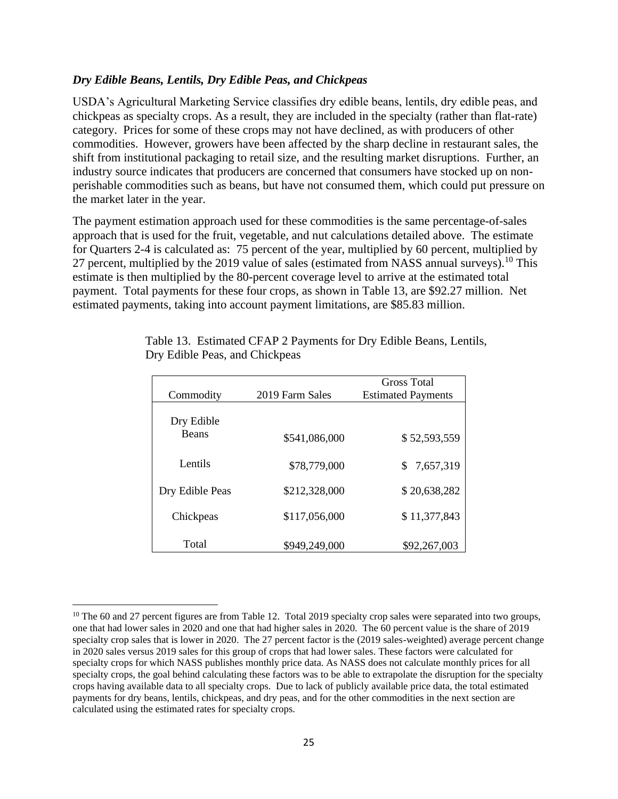### *Dry Edible Beans, Lentils, Dry Edible Peas, and Chickpeas*

USDA's Agricultural Marketing Service classifies dry edible beans, lentils, dry edible peas, and chickpeas as specialty crops. As a result, they are included in the specialty (rather than flat-rate) category. Prices for some of these crops may not have declined, as with producers of other commodities. However, growers have been affected by the sharp decline in restaurant sales, the shift from institutional packaging to retail size, and the resulting market disruptions. Further, an industry source indicates that producers are concerned that consumers have stocked up on nonperishable commodities such as beans, but have not consumed them, which could put pressure on the market later in the year.

The payment estimation approach used for these commodities is the same percentage-of-sales approach that is used for the fruit, vegetable, and nut calculations detailed above. The estimate for Quarters 2-4 is calculated as: 75 percent of the year, multiplied by 60 percent, multiplied by 27 percent, multiplied by the 2019 value of sales (estimated from NASS annual surveys).<sup>10</sup> This estimate is then multiplied by the 80-percent coverage level to arrive at the estimated total payment. Total payments for these four crops, as shown in Table 13, are \$92.27 million. Net estimated payments, taking into account payment limitations, are \$85.83 million.

|                 |                 | Gross Total               |
|-----------------|-----------------|---------------------------|
| Commodity       | 2019 Farm Sales | <b>Estimated Payments</b> |
| Dry Edible      |                 |                           |
| <b>Beans</b>    | \$541,086,000   | \$52,593,559              |
| Lentils         | \$78,779,000    | 7,657,319<br>SS.          |
| Dry Edible Peas | \$212,328,000   | \$20,638,282              |
| Chickpeas       | \$117,056,000   | \$11,377,843              |
| Total           | \$949,249,000   | \$92,267,003              |

Table 13. Estimated CFAP 2 Payments for Dry Edible Beans, Lentils, Dry Edible Peas, and Chickpeas

 $10$  The 60 and 27 percent figures are from Table 12. Total 2019 specialty crop sales were separated into two groups, one that had lower sales in 2020 and one that had higher sales in 2020. The 60 percent value is the share of 2019 specialty crop sales that is lower in 2020. The 27 percent factor is the (2019 sales-weighted) average percent change in 2020 sales versus 2019 sales for this group of crops that had lower sales. These factors were calculated for specialty crops for which NASS publishes monthly price data. As NASS does not calculate monthly prices for all specialty crops, the goal behind calculating these factors was to be able to extrapolate the disruption for the specialty crops having available data to all specialty crops. Due to lack of publicly available price data, the total estimated payments for dry beans, lentils, chickpeas, and dry peas, and for the other commodities in the next section are calculated using the estimated rates for specialty crops.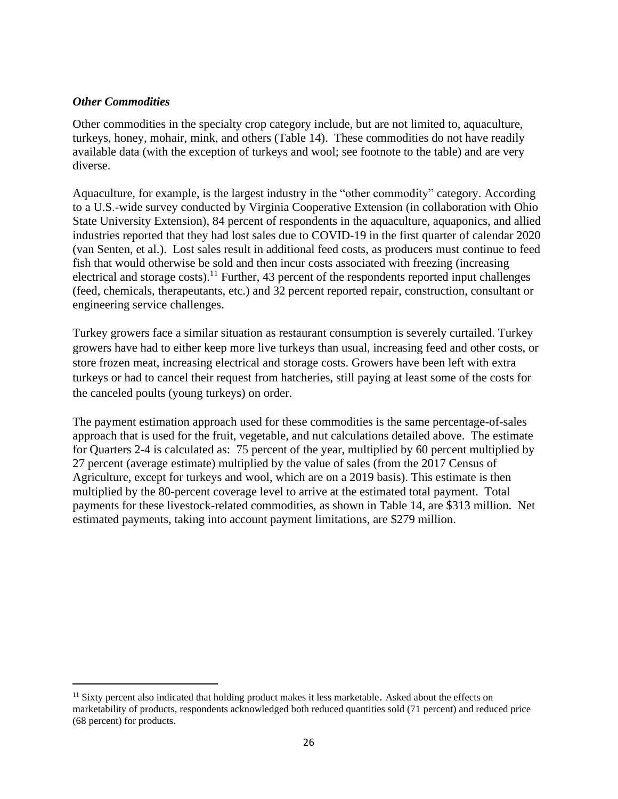### *Other Commodities*

Other commodities in the specialty crop category include, but are not limited to, aquaculture, turkeys, honey, mohair, mink, and others (Table 14). These commodities do not have readily available data (with the exception of turkeys and wool; see footnote to the table) and are very diverse.

Aquaculture, for example, is the largest industry in the "other commodity" category. According to a U.S.-wide survey conducted by Virginia Cooperative Extension (in collaboration with Ohio State University Extension), 84 percent of respondents in the aquaculture, aquaponics, and allied industries reported that they had lost sales due to COVID-19 in the first quarter of calendar 2020 (van Senten, et al.). Lost sales result in additional feed costs, as producers must continue to feed fish that would otherwise be sold and then incur costs associated with freezing (increasing electrical and storage costs).<sup>11</sup> Further, 43 percent of the respondents reported input challenges (feed, chemicals, therapeutants, etc.) and 32 percent reported repair, construction, consultant or engineering service challenges.

Turkey growers face a similar situation as restaurant consumption is severely curtailed. Turkey growers have had to either keep more live turkeys than usual, increasing feed and other costs, or store frozen meat, increasing electrical and storage costs. Growers have been left with extra turkeys or had to cancel their request from hatcheries, still paying at least some of the costs for the canceled poults (young turkeys) on order.

The payment estimation approach used for these commodities is the same percentage-of-sales approach that is used for the fruit, vegetable, and nut calculations detailed above. The estimate for Quarters 2-4 is calculated as: 75 percent of the year, multiplied by 60 percent multiplied by 27 percent (average estimate) multiplied by the value of sales (from the 2017 Census of Agriculture, except for turkeys and wool, which are on a 2019 basis). This estimate is then multiplied by the 80-percent coverage level to arrive at the estimated total payment. Total payments for these livestock-related commodities, as shown in Table 14, are \$313 million. Net estimated payments, taking into account payment limitations, are \$279 million.

 $11$  Sixty percent also indicated that holding product makes it less marketable. Asked about the effects on marketability of products, respondents acknowledged both reduced quantities sold (71 percent) and reduced price (68 percent) for products.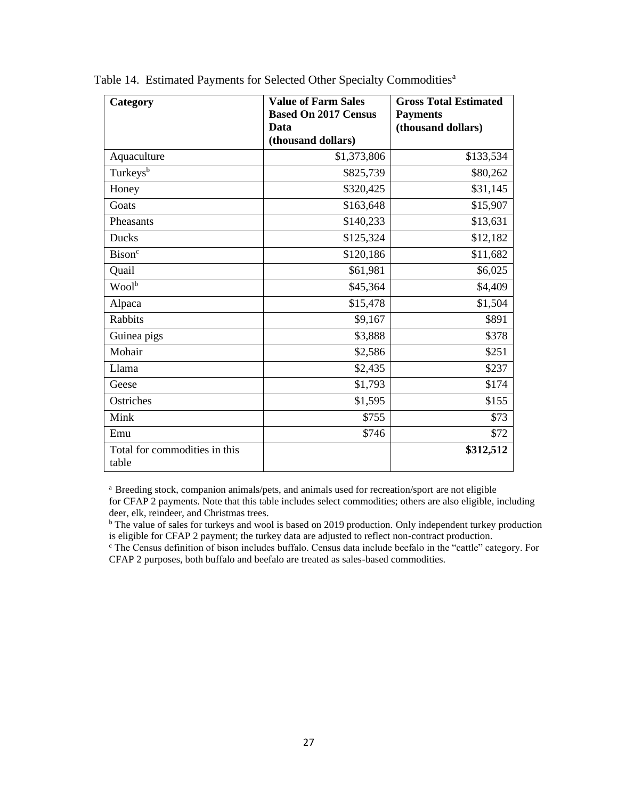| Category                               | <b>Value of Farm Sales</b><br><b>Based On 2017 Census</b> | <b>Gross Total Estimated</b><br><b>Payments</b> |
|----------------------------------------|-----------------------------------------------------------|-------------------------------------------------|
|                                        | Data                                                      | (thousand dollars)                              |
|                                        | (thousand dollars)                                        |                                                 |
| Aquaculture                            | \$1,373,806                                               | \$133,534                                       |
| Turkeys <sup>b</sup>                   | \$825,739                                                 | \$80,262                                        |
| Honey                                  | \$320,425                                                 | \$31,145                                        |
| Goats                                  | \$163,648                                                 | \$15,907                                        |
| Pheasants                              | \$140,233                                                 | \$13,631                                        |
| <b>Ducks</b>                           | \$125,324                                                 | \$12,182                                        |
| <b>Bison</b> <sup>c</sup>              | \$120,186                                                 | \$11,682                                        |
| Quail                                  | \$61,981                                                  | \$6,025                                         |
| $Wool^{\overline{b}}$                  | \$45,364                                                  | \$4,409                                         |
| Alpaca                                 | \$15,478                                                  | \$1,504                                         |
| <b>Rabbits</b>                         | \$9,167                                                   | \$891                                           |
| Guinea pigs                            | \$3,888                                                   | \$378                                           |
| Mohair                                 | \$2,586                                                   | \$251                                           |
| Llama                                  | \$2,435                                                   | \$237                                           |
| Geese                                  | \$1,793                                                   | \$174                                           |
| Ostriches                              | \$1,595                                                   | \$155                                           |
| Mink                                   | \$755                                                     | \$73                                            |
| Emu                                    | \$746                                                     | \$72                                            |
| Total for commodities in this<br>table |                                                           | \$312,512                                       |

Table 14. Estimated Payments for Selected Other Specialty Commodities<sup>a</sup>

<sup>a</sup> Breeding stock, companion animals/pets, and animals used for recreation/sport are not eligible for CFAP 2 payments. Note that this table includes select commodities; others are also eligible, including deer, elk, reindeer, and Christmas trees.

<sup>b</sup> The value of sales for turkeys and wool is based on 2019 production. Only independent turkey production is eligible for CFAP 2 payment; the turkey data are adjusted to reflect non-contract production.

<sup>c</sup> The Census definition of bison includes buffalo. Census data include beefalo in the "cattle" category. For CFAP 2 purposes, both buffalo and beefalo are treated as sales-based commodities.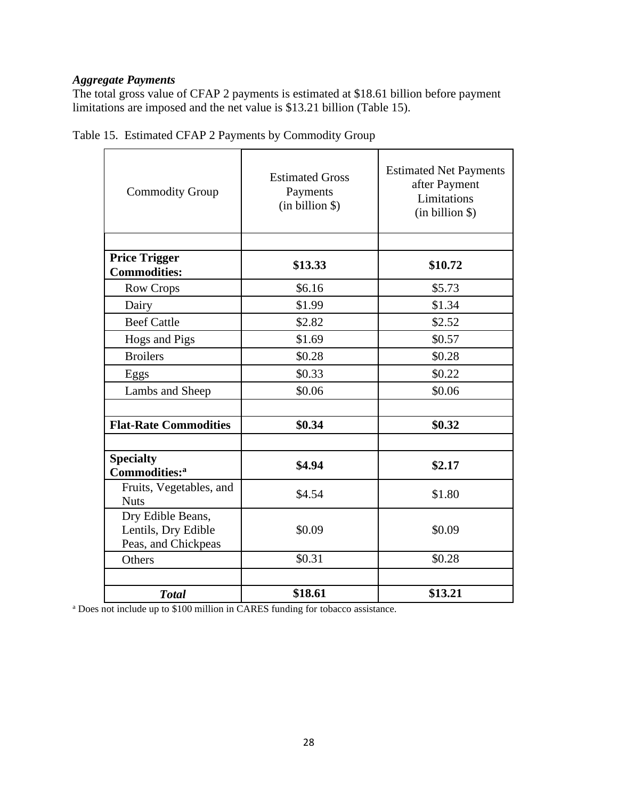### *Aggregate Payments*

The total gross value of CFAP 2 payments is estimated at \$18.61 billion before payment limitations are imposed and the net value is \$13.21 billion (Table 15).

| <b>Commodity Group</b>                                          | <b>Estimated Gross</b><br>Payments<br>(in billion \$) | <b>Estimated Net Payments</b><br>after Payment<br>Limitations<br>(in billion \$) |
|-----------------------------------------------------------------|-------------------------------------------------------|----------------------------------------------------------------------------------|
|                                                                 |                                                       |                                                                                  |
| <b>Price Trigger</b><br><b>Commodities:</b>                     | \$13.33                                               | \$10.72                                                                          |
| <b>Row Crops</b>                                                | \$6.16                                                | \$5.73                                                                           |
| Dairy                                                           | \$1.99                                                | \$1.34                                                                           |
| <b>Beef Cattle</b>                                              | \$2.82                                                | \$2.52                                                                           |
| Hogs and Pigs                                                   | \$1.69                                                | \$0.57                                                                           |
| <b>Broilers</b>                                                 | \$0.28                                                | \$0.28                                                                           |
| Eggs                                                            | \$0.33                                                | \$0.22                                                                           |
| Lambs and Sheep                                                 | \$0.06                                                | \$0.06                                                                           |
|                                                                 |                                                       |                                                                                  |
| <b>Flat-Rate Commodities</b>                                    | \$0.34                                                | \$0.32                                                                           |
|                                                                 |                                                       |                                                                                  |
| <b>Specialty</b><br>Commodities: <sup>a</sup>                   | \$4.94                                                | \$2.17                                                                           |
| Fruits, Vegetables, and<br><b>Nuts</b>                          | \$4.54                                                | \$1.80                                                                           |
| Dry Edible Beans,<br>Lentils, Dry Edible<br>Peas, and Chickpeas | \$0.09                                                | \$0.09                                                                           |
| Others                                                          | \$0.31                                                | \$0.28                                                                           |
|                                                                 |                                                       |                                                                                  |
| <b>Total</b>                                                    | \$18.61                                               | \$13.21                                                                          |

Table 15. Estimated CFAP 2 Payments by Commodity Group

<sup>a</sup> Does not include up to \$100 million in CARES funding for tobacco assistance.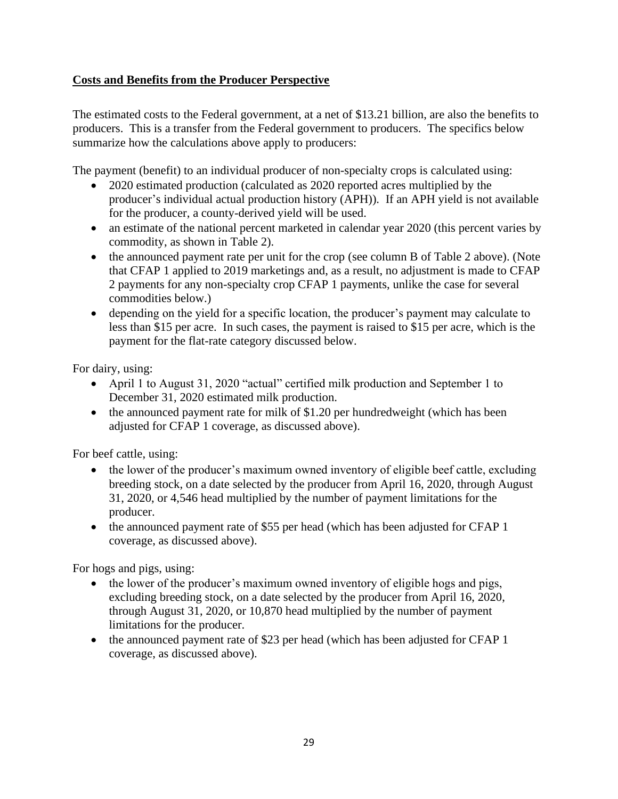# **Costs and Benefits from the Producer Perspective**

The estimated costs to the Federal government, at a net of \$13.21 billion, are also the benefits to producers. This is a transfer from the Federal government to producers. The specifics below summarize how the calculations above apply to producers:

The payment (benefit) to an individual producer of non-specialty crops is calculated using:

- 2020 estimated production (calculated as 2020 reported acres multiplied by the producer's individual actual production history (APH)). If an APH yield is not available for the producer, a county-derived yield will be used.
- an estimate of the national percent marketed in calendar year 2020 (this percent varies by commodity, as shown in Table 2).
- the announced payment rate per unit for the crop (see column B of Table 2 above). (Note that CFAP 1 applied to 2019 marketings and, as a result, no adjustment is made to CFAP 2 payments for any non-specialty crop CFAP 1 payments, unlike the case for several commodities below.)
- depending on the yield for a specific location, the producer's payment may calculate to less than \$15 per acre. In such cases, the payment is raised to \$15 per acre, which is the payment for the flat-rate category discussed below.

For dairy, using:

- April 1 to August 31, 2020 "actual" certified milk production and September 1 to December 31, 2020 estimated milk production.
- the announced payment rate for milk of \$1.20 per hundredweight (which has been adjusted for CFAP 1 coverage, as discussed above).

For beef cattle, using:

- the lower of the producer's maximum owned inventory of eligible beef cattle, excluding breeding stock, on a date selected by the producer from April 16, 2020, through August 31, 2020, or 4,546 head multiplied by the number of payment limitations for the producer.
- the announced payment rate of \$55 per head (which has been adjusted for CFAP 1 coverage, as discussed above).

For hogs and pigs, using:

- the lower of the producer's maximum owned inventory of eligible hogs and pigs, excluding breeding stock, on a date selected by the producer from April 16, 2020, through August 31, 2020, or 10,870 head multiplied by the number of payment limitations for the producer.
- the announced payment rate of \$23 per head (which has been adjusted for CFAP 1 coverage, as discussed above).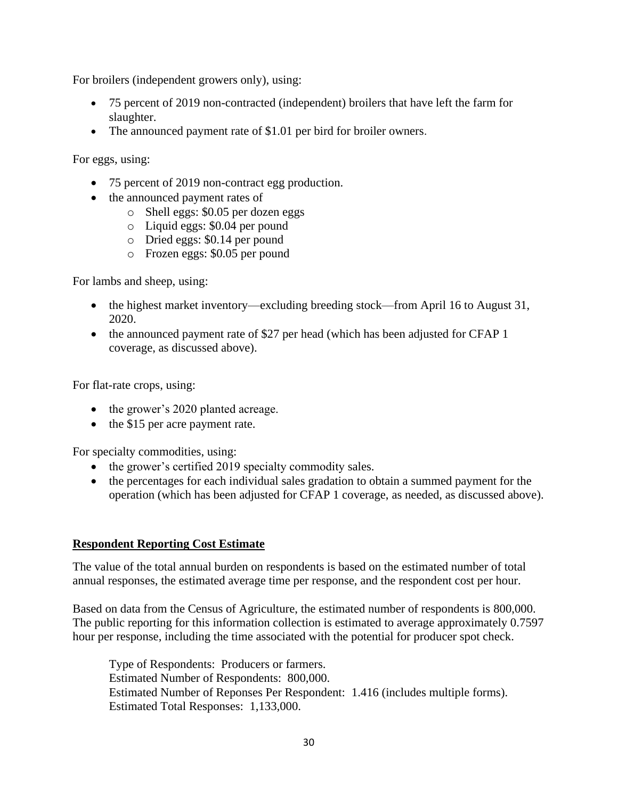For broilers (independent growers only), using:

- 75 percent of 2019 non-contracted (independent) broilers that have left the farm for slaughter.
- The announced payment rate of \$1.01 per bird for broiler owners.

For eggs, using:

- 75 percent of 2019 non-contract egg production.
- the announced payment rates of
	- o Shell eggs: \$0.05 per dozen eggs
	- o Liquid eggs: \$0.04 per pound
	- o Dried eggs: \$0.14 per pound
	- o Frozen eggs: \$0.05 per pound

For lambs and sheep, using:

- the highest market inventory—excluding breeding stock—from April 16 to August 31, 2020.
- the announced payment rate of \$27 per head (which has been adjusted for CFAP 1) coverage, as discussed above).

For flat-rate crops, using:

- the grower's 2020 planted acreage.
- the \$15 per acre payment rate.

For specialty commodities, using:

- the grower's certified 2019 specialty commodity sales.
- the percentages for each individual sales gradation to obtain a summed payment for the operation (which has been adjusted for CFAP 1 coverage, as needed, as discussed above).

### **Respondent Reporting Cost Estimate**

The value of the total annual burden on respondents is based on the estimated number of total annual responses, the estimated average time per response, and the respondent cost per hour.

Based on data from the Census of Agriculture, the estimated number of respondents is 800,000. The public reporting for this information collection is estimated to average approximately 0.7597 hour per response, including the time associated with the potential for producer spot check.

Type of Respondents: Producers or farmers. Estimated Number of Respondents: 800,000. Estimated Number of Reponses Per Respondent: 1.416 (includes multiple forms). Estimated Total Responses: 1,133,000.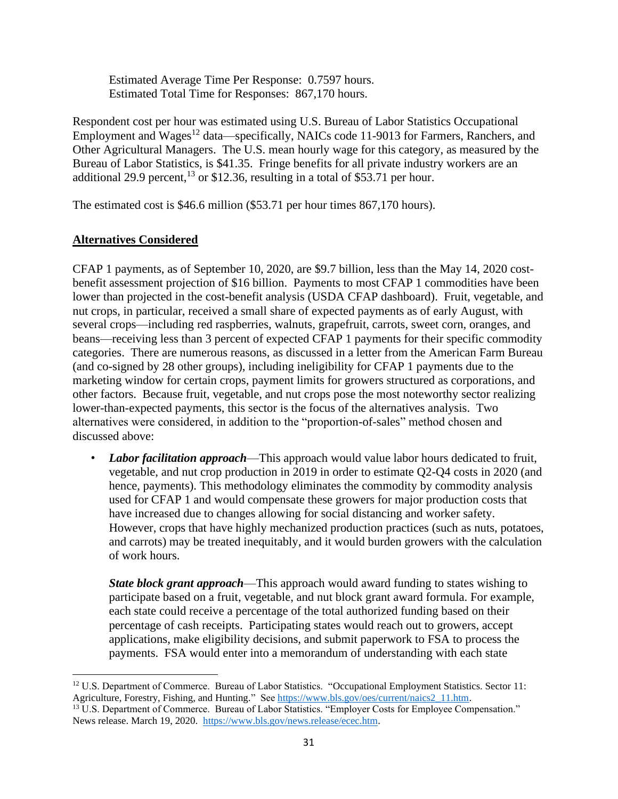Estimated Average Time Per Response: 0.7597 hours. Estimated Total Time for Responses: 867,170 hours.

Respondent cost per hour was estimated using U.S. Bureau of Labor Statistics Occupational Employment and Wages<sup>12</sup> data—specifically, NAICs code 11-9013 for Farmers, Ranchers, and Other Agricultural Managers. The U.S. mean hourly wage for this category, as measured by the Bureau of Labor Statistics, is \$41.35. Fringe benefits for all private industry workers are an additional 29.9 percent,  $^{13}$  or \$12.36, resulting in a total of \$53.71 per hour.

The estimated cost is \$46.6 million (\$53.71 per hour times 867,170 hours).

### **Alternatives Considered**

CFAP 1 payments, as of September 10, 2020, are \$9.7 billion, less than the May 14, 2020 costbenefit assessment projection of \$16 billion. Payments to most CFAP 1 commodities have been lower than projected in the cost-benefit analysis (USDA CFAP dashboard). Fruit, vegetable, and nut crops, in particular, received a small share of expected payments as of early August, with several crops—including red raspberries, walnuts, grapefruit, carrots, sweet corn, oranges, and beans—receiving less than 3 percent of expected CFAP 1 payments for their specific commodity categories. There are numerous reasons, as discussed in a letter from the American Farm Bureau (and co-signed by 28 other groups), including ineligibility for CFAP 1 payments due to the marketing window for certain crops, payment limits for growers structured as corporations, and other factors. Because fruit, vegetable, and nut crops pose the most noteworthy sector realizing lower-than-expected payments, this sector is the focus of the alternatives analysis. Two alternatives were considered, in addition to the "proportion-of-sales" method chosen and discussed above:

• *Labor facilitation approach*—This approach would value labor hours dedicated to fruit, vegetable, and nut crop production in 2019 in order to estimate Q2-Q4 costs in 2020 (and hence, payments). This methodology eliminates the commodity by commodity analysis used for CFAP 1 and would compensate these growers for major production costs that have increased due to changes allowing for social distancing and worker safety. However, crops that have highly mechanized production practices (such as nuts, potatoes, and carrots) may be treated inequitably, and it would burden growers with the calculation of work hours.

*State block grant approach*—This approach would award funding to states wishing to participate based on a fruit, vegetable, and nut block grant award formula. For example, each state could receive a percentage of the total authorized funding based on their percentage of cash receipts. Participating states would reach out to growers, accept applications, make eligibility decisions, and submit paperwork to FSA to process the payments. FSA would enter into a memorandum of understanding with each state

<sup>&</sup>lt;sup>12</sup> U.S. Department of Commerce. Bureau of Labor Statistics. "Occupational Employment Statistics. Sector 11: Agriculture, Forestry, Fishing, and Hunting." See [https://www.bls.gov/oes/current/naics2\\_11.htm.](https://www.bls.gov/oes/current/naics2_11.htm) <sup>13</sup> U.S. Department of Commerce. Bureau of Labor Statistics. "Employer Costs for Employee Compensation."

News release. March 19, 2020. [https://www.bls.gov/news.release/ecec.htm.](https://www.bls.gov/news.release/ecec.htm)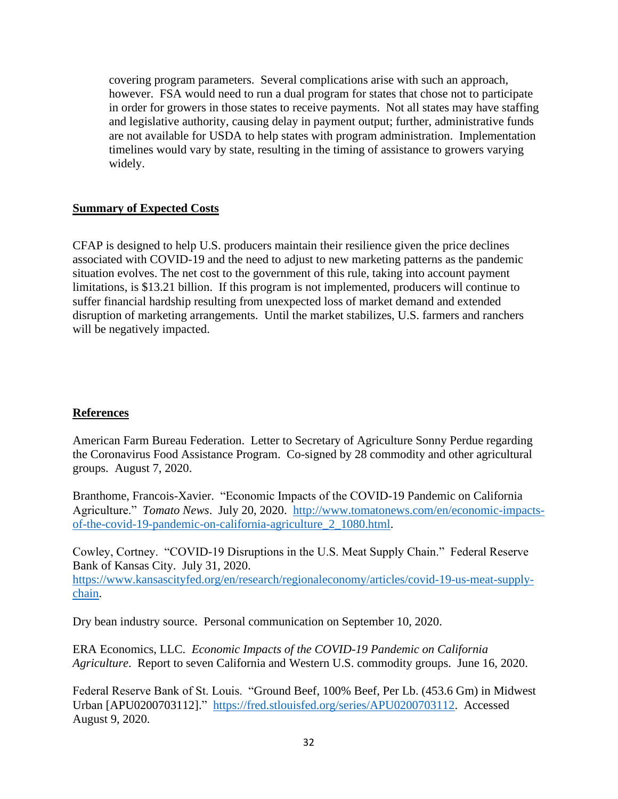covering program parameters. Several complications arise with such an approach, however. FSA would need to run a dual program for states that chose not to participate in order for growers in those states to receive payments. Not all states may have staffing and legislative authority, causing delay in payment output; further, administrative funds are not available for USDA to help states with program administration. Implementation timelines would vary by state, resulting in the timing of assistance to growers varying widely.

### **Summary of Expected Costs**

CFAP is designed to help U.S. producers maintain their resilience given the price declines associated with COVID-19 and the need to adjust to new marketing patterns as the pandemic situation evolves. The net cost to the government of this rule, taking into account payment limitations, is \$13.21 billion. If this program is not implemented, producers will continue to suffer financial hardship resulting from unexpected loss of market demand and extended disruption of marketing arrangements. Until the market stabilizes, U.S. farmers and ranchers will be negatively impacted.

### **References**

American Farm Bureau Federation. Letter to Secretary of Agriculture Sonny Perdue regarding the Coronavirus Food Assistance Program. Co-signed by 28 commodity and other agricultural groups. August 7, 2020.

Branthome, Francois-Xavier. "Economic Impacts of the COVID-19 Pandemic on California Agriculture." *Tomato News*. July 20, 2020. [http://www.tomatonews.com/en/economic-impacts](http://www.tomatonews.com/en/economic-impacts-of-the-covid-19-pandemic-on-california-agriculture_2_1080.html)[of-the-covid-19-pandemic-on-california-agriculture\\_2\\_1080.html.](http://www.tomatonews.com/en/economic-impacts-of-the-covid-19-pandemic-on-california-agriculture_2_1080.html)

Cowley, Cortney. "COVID-19 Disruptions in the U.S. Meat Supply Chain." Federal Reserve Bank of Kansas City. July 31, 2020. [https://www.kansascityfed.org/en/research/regionaleconomy/articles/covid-19-us-meat-supply](https://www.kansascityfed.org/en/research/regionaleconomy/articles/covid-19-us-meat-supply-chain)[chain.](https://www.kansascityfed.org/en/research/regionaleconomy/articles/covid-19-us-meat-supply-chain)

Dry bean industry source. Personal communication on September 10, 2020.

ERA Economics, LLC. *Economic Impacts of the COVID-19 Pandemic on California Agriculture*. Report to seven California and Western U.S. commodity groups. June 16, 2020.

Federal Reserve Bank of St. Louis. "Ground Beef, 100% Beef, Per Lb. (453.6 Gm) in Midwest Urban [APU0200703112]." [https://fred.stlouisfed.org/series/APU0200703112.](https://fred.stlouisfed.org/series/APU0200703112) Accessed August 9, 2020.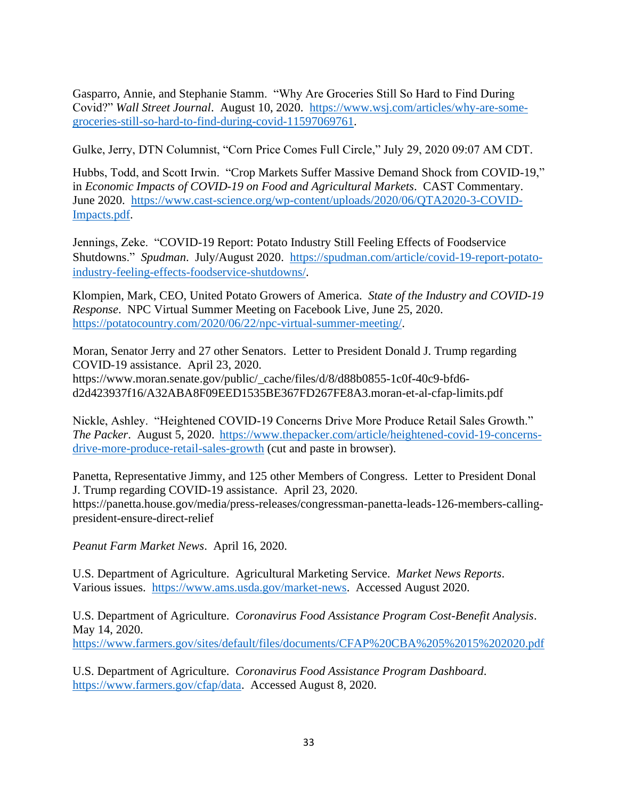Gasparro, Annie, and Stephanie Stamm. "Why Are Groceries Still So Hard to Find During Covid?" *Wall Street Journal*. August 10, 2020. [https://www.wsj.com/articles/why-are-some](https://www.wsj.com/articles/why-are-some-groceries-still-so-hard-to-find-during-covid-11597069761)[groceries-still-so-hard-to-find-during-covid-11597069761.](https://www.wsj.com/articles/why-are-some-groceries-still-so-hard-to-find-during-covid-11597069761)

Gulke, Jerry, DTN Columnist, "Corn Price Comes Full Circle," July 29, 2020 09:07 AM CDT.

Hubbs, Todd, and Scott Irwin. "Crop Markets Suffer Massive Demand Shock from COVID-19," in *Economic Impacts of COVID-19 on Food and Agricultural Markets*. CAST Commentary. June 2020. [https://www.cast-science.org/wp-content/uploads/2020/06/QTA2020-3-COVID-](https://www.cast-science.org/wp-content/uploads/2020/06/QTA2020-3-COVID-Impacts.pdf)[Impacts.pdf.](https://www.cast-science.org/wp-content/uploads/2020/06/QTA2020-3-COVID-Impacts.pdf)

Jennings, Zeke. "COVID-19 Report: Potato Industry Still Feeling Effects of Foodservice Shutdowns." *Spudman*. July/August 2020. [https://spudman.com/article/covid-19-report-potato](https://spudman.com/article/covid-19-report-potato-industry-feeling-effects-foodservice-shutdowns/)[industry-feeling-effects-foodservice-shutdowns/.](https://spudman.com/article/covid-19-report-potato-industry-feeling-effects-foodservice-shutdowns/)

Klompien, Mark, CEO, United Potato Growers of America. *State of the Industry and COVID-19 Response*. NPC Virtual Summer Meeting on Facebook Live, June 25, 2020. [https://potatocountry.com/2020/06/22/npc-virtual-summer-meeting/.](https://potatocountry.com/2020/06/22/npc-virtual-summer-meeting/)

Moran, Senator Jerry and 27 other Senators. Letter to President Donald J. Trump regarding COVID-19 assistance. April 23, 2020. https://www.moran.senate.gov/public/\_cache/files/d/8/d88b0855-1c0f-40c9-bfd6 d2d423937f16/A32ABA8F09EED1535BE367FD267FE8A3.moran-et-al-cfap-limits.pdf

Nickle, Ashley. "Heightened COVID-19 Concerns Drive More Produce Retail Sales Growth." *The Packer*. August 5, 2020. [https://www.thepacker.com/article/heightened-covid-19-concerns](https://www.thepacker.com/article/heightened-covid-19-concerns-drive-more-produce-retail-sales-growth)[drive-more-produce-retail-sales-growth](https://www.thepacker.com/article/heightened-covid-19-concerns-drive-more-produce-retail-sales-growth) (cut and paste in browser).

Panetta, Representative Jimmy, and 125 other Members of Congress. Letter to President Donal J. Trump regarding COVID-19 assistance. April 23, 2020. https://panetta.house.gov/media/press-releases/congressman-panetta-leads-126-members-callingpresident-ensure-direct-relief

*Peanut Farm Market News*. April 16, 2020.

U.S. Department of Agriculture. Agricultural Marketing Service. *Market News Reports*. Various issues. [https://www.ams.usda.gov/market-news.](https://www.ams.usda.gov/market-news) Accessed August 2020.

U.S. Department of Agriculture. *Coronavirus Food Assistance Program Cost-Benefit Analysis*. May 14, 2020. <https://www.farmers.gov/sites/default/files/documents/CFAP%20CBA%205%2015%202020.pdf>

U.S. Department of Agriculture. *Coronavirus Food Assistance Program Dashboard*. [https://www.farmers.gov/cfap/data.](https://www.farmers.gov/cfap/data) Accessed August 8, 2020.